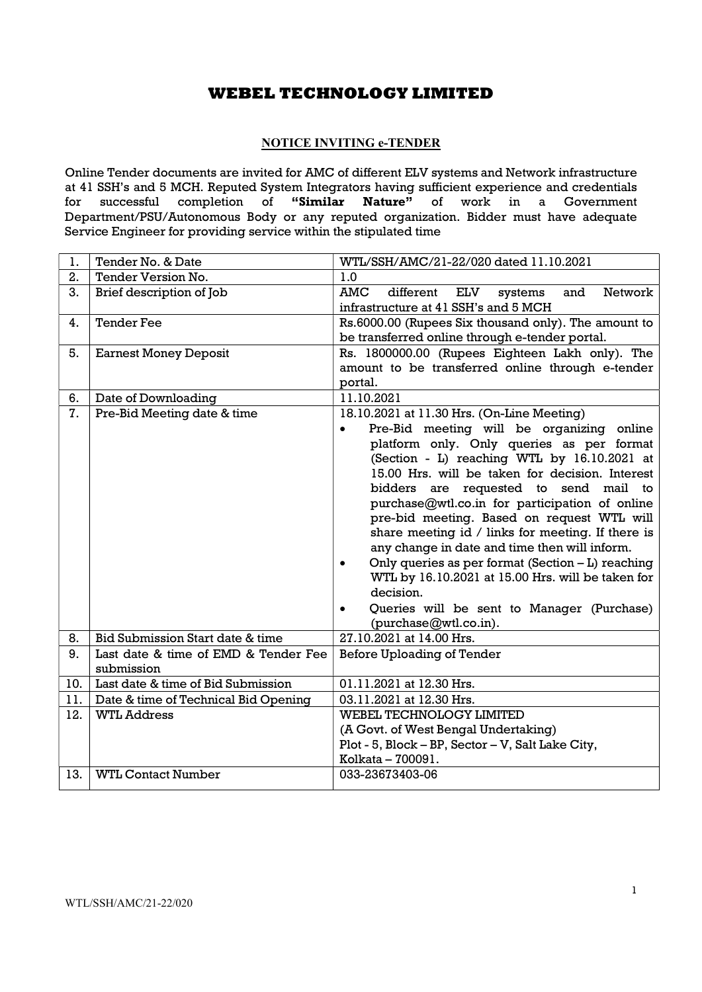## NOTICE INVITING e-TENDER

Online Tender documents are invited for AMC of different ELV systems and Network infrastructure at 41 SSH's and 5 MCH. Reputed System Integrators having sufficient experience and credentials for successful completion of "Similar Nature" of work in a Government Department/PSU/Autonomous Body or any reputed organization. Bidder must have adequate Service Engineer for providing service within the stipulated time

| 1.  | Tender No. & Date                    | WTL/SSH/AMC/21-22/020 dated 11.10.2021                                                         |  |  |  |
|-----|--------------------------------------|------------------------------------------------------------------------------------------------|--|--|--|
| 2.  | Tender Version No.                   | 1.0                                                                                            |  |  |  |
| 3.  | Brief description of Job             | <b>AMC</b><br>Network<br>different<br><b>ELV</b><br>and<br>systems                             |  |  |  |
|     |                                      | infrastructure at 41 SSH's and 5 MCH                                                           |  |  |  |
| 4.  | <b>Tender Fee</b>                    | Rs.6000.00 (Rupees Six thousand only). The amount to                                           |  |  |  |
|     |                                      | be transferred online through e-tender portal.                                                 |  |  |  |
| 5.  | <b>Earnest Money Deposit</b>         | Rs. 1800000.00 (Rupees Eighteen Lakh only). The                                                |  |  |  |
|     |                                      | amount to be transferred online through e-tender                                               |  |  |  |
|     |                                      | portal.                                                                                        |  |  |  |
| 6.  | Date of Downloading                  | 11.10.2021                                                                                     |  |  |  |
| 7.  | Pre-Bid Meeting date & time          | 18.10.2021 at 11.30 Hrs. (On-Line Meeting)                                                     |  |  |  |
|     |                                      | Pre-Bid meeting will be organizing online<br>$\bullet$                                         |  |  |  |
|     |                                      | platform only. Only queries as per format                                                      |  |  |  |
|     |                                      | (Section - L) reaching WTL by 16.10.2021 at<br>15.00 Hrs. will be taken for decision. Interest |  |  |  |
|     |                                      | bidders are requested to send mail to                                                          |  |  |  |
|     |                                      | purchase@wtl.co.in for participation of online                                                 |  |  |  |
|     |                                      | pre-bid meeting. Based on request WTL will                                                     |  |  |  |
|     |                                      | share meeting id / links for meeting. If there is                                              |  |  |  |
|     |                                      | any change in date and time then will inform.                                                  |  |  |  |
|     |                                      | Only queries as per format (Section $-L$ ) reaching<br>$\bullet$                               |  |  |  |
|     |                                      | WTL by 16.10.2021 at 15.00 Hrs. will be taken for                                              |  |  |  |
|     |                                      | decision.                                                                                      |  |  |  |
|     |                                      | Queries will be sent to Manager (Purchase)<br>$\bullet$                                        |  |  |  |
|     |                                      | (purchase@wtl.co.in).                                                                          |  |  |  |
| 8.  | Bid Submission Start date & time     | 27.10.2021 at 14.00 Hrs.                                                                       |  |  |  |
| 9.  | Last date & time of EMD & Tender Fee | Before Uploading of Tender                                                                     |  |  |  |
|     | submission                           |                                                                                                |  |  |  |
| 10. | Last date & time of Bid Submission   | 01.11.2021 at 12.30 Hrs.                                                                       |  |  |  |
| 11. | Date & time of Technical Bid Opening | 03.11.2021 at 12.30 Hrs.                                                                       |  |  |  |
| 12. | <b>WTL Address</b>                   | WEBEL TECHNOLOGY LIMITED                                                                       |  |  |  |
|     |                                      | (A Govt. of West Bengal Undertaking)                                                           |  |  |  |
|     |                                      | Plot - 5, Block - BP, Sector - V, Salt Lake City,                                              |  |  |  |
|     |                                      | Kolkata - 700091.                                                                              |  |  |  |
| 13. | <b>WTL Contact Number</b>            | 033-23673403-06                                                                                |  |  |  |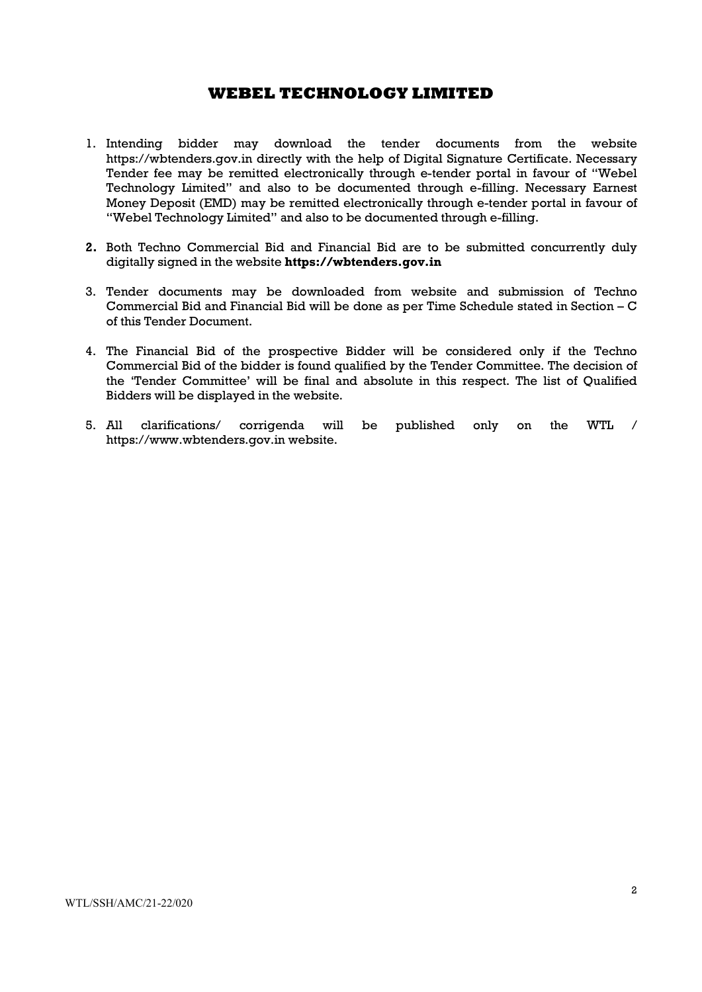- 1. Intending bidder may download the tender documents from the website https://wbtenders.gov.in directly with the help of Digital Signature Certificate. Necessary Tender fee may be remitted electronically through e-tender portal in favour of "Webel Technology Limited" and also to be documented through e-filling. Necessary Earnest Money Deposit (EMD) may be remitted electronically through e-tender portal in favour of "Webel Technology Limited" and also to be documented through e-filling.
- 2. Both Techno Commercial Bid and Financial Bid are to be submitted concurrently duly digitally signed in the website https://wbtenders.gov.in
- 3. Tender documents may be downloaded from website and submission of Techno Commercial Bid and Financial Bid will be done as per Time Schedule stated in Section – C of this Tender Document.
- 4. The Financial Bid of the prospective Bidder will be considered only if the Techno Commercial Bid of the bidder is found qualified by the Tender Committee. The decision of the 'Tender Committee' will be final and absolute in this respect. The list of Qualified Bidders will be displayed in the website.
- 5. All clarifications/ corrigenda will be published only on the WTL / https://www.wbtenders.gov.in website.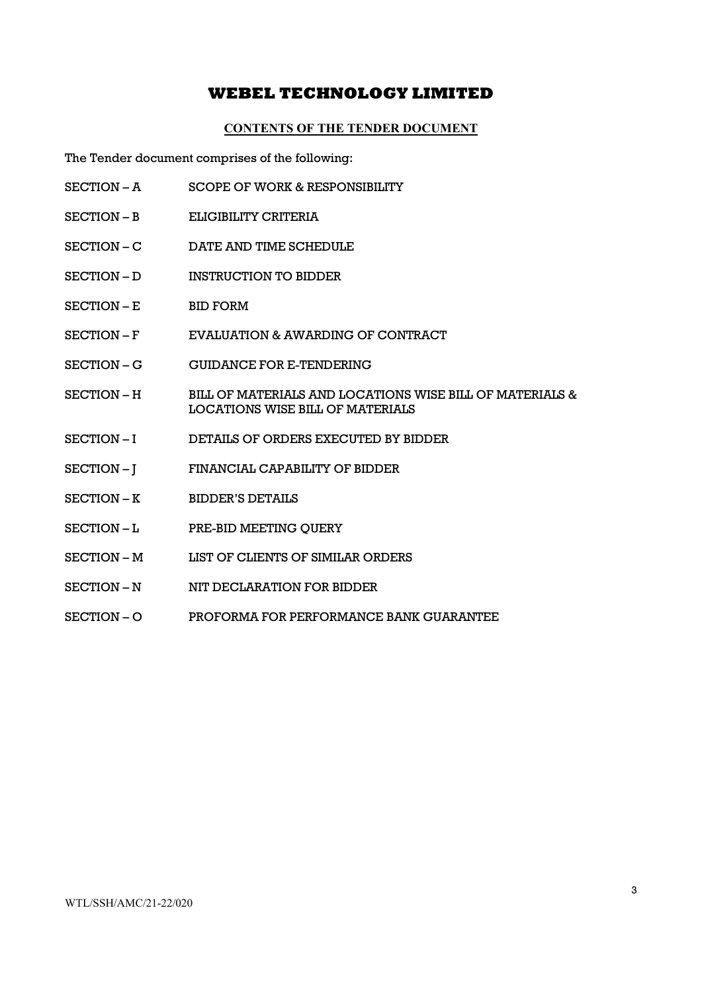#### CONTENTS OF THE TENDER DOCUMENT

The Tender document comprises of the following:

- SECTION A SCOPE OF WORK & RESPONSIBILITY
- SECTION B ELIGIBILITY CRITERIA
- SECTION C DATE AND TIME SCHEDULE
- SECTION D INSTRUCTION TO BIDDER
- SECTION E BID FORM
- SECTION F EVALUATION & AWARDING OF CONTRACT
- SECTION G GUIDANCE FOR E-TENDERING
- SECTION H BILL OF MATERIALS AND LOCATIONS WISE BILL OF MATERIALS & LOCATIONS WISE BILL OF MATERIALS
- SECTION I DETAILS OF ORDERS EXECUTED BY BIDDER
- SECTION J FINANCIAL CAPABILITY OF BIDDER
- SECTION K BIDDER'S DETAILS
- SECTION L PRE-BID MEETING QUERY
- SECTION M LIST OF CLIENTS OF SIMILAR ORDERS
- SECTION N NIT DECLARATION FOR BIDDER
- SECTION O PROFORMA FOR PERFORMANCE BANK GUARANTEE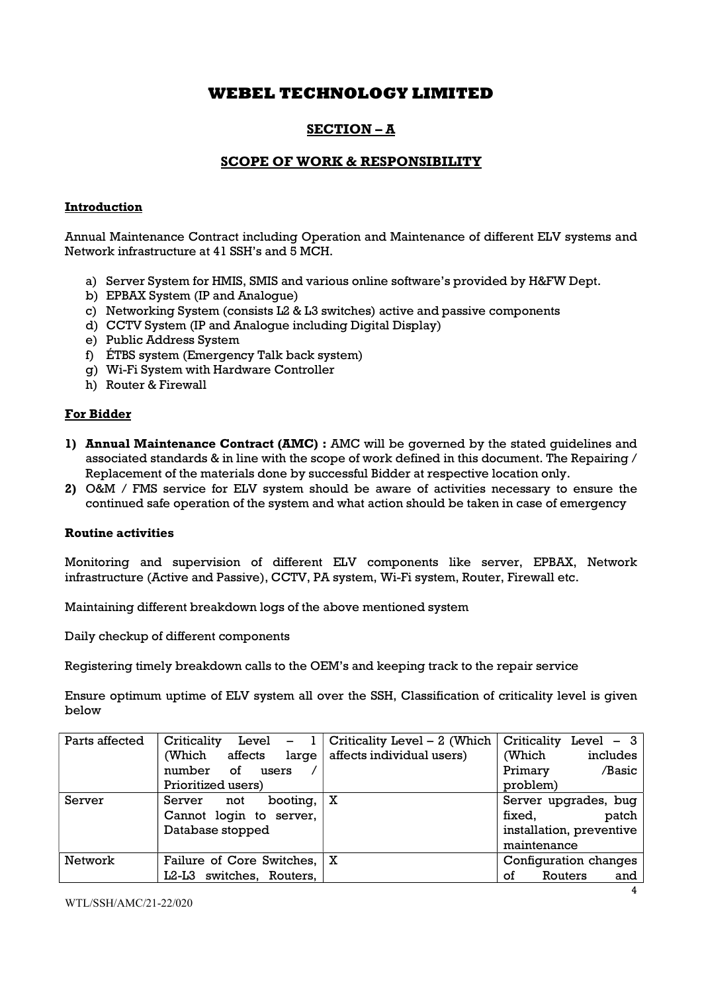# SECTION – A

## SCOPE OF WORK & RESPONSIBILITY

### Introduction

Annual Maintenance Contract including Operation and Maintenance of different ELV systems and Network infrastructure at 41 SSH's and 5 MCH.

- a) Server System for HMIS, SMIS and various online software's provided by H&FW Dept.
- b) EPBAX System (IP and Analogue)
- c) Networking System (consists L2 & L3 switches) active and passive components
- d) CCTV System (IP and Analogue including Digital Display)
- e) Public Address System
- f) ÉTBS system (Emergency Talk back system)
- g) Wi-Fi System with Hardware Controller
- h) Router & Firewall

#### For Bidder

- 1) Annual Maintenance Contract (AMC) : AMC will be governed by the stated quidelines and associated standards & in line with the scope of work defined in this document. The Repairing / Replacement of the materials done by successful Bidder at respective location only.
- 2) O&M / FMS service for ELV system should be aware of activities necessary to ensure the continued safe operation of the system and what action should be taken in case of emergency

#### Routine activities

Monitoring and supervision of different ELV components like server, EPBAX, Network infrastructure (Active and Passive), CCTV, PA system, Wi-Fi system, Router, Firewall etc.

Maintaining different breakdown logs of the above mentioned system

Daily checkup of different components

Registering timely breakdown calls to the OEM's and keeping track to the repair service

Ensure optimum uptime of ELV system all over the SSH, Classification of criticality level is given below

| Parts affected | Criticality<br>Level<br>$-1$  | Criticality Level $-2$ (Which | Criticality Level - 3    |
|----------------|-------------------------------|-------------------------------|--------------------------|
|                | (Which<br>affects<br>large    | affects individual users)     | includes<br>(Which       |
|                | 0f<br>number<br>users         |                               | Primary<br>/Basic        |
|                | Prioritized users)            |                               | problem)                 |
| Server         | booting,<br>Server<br>not     | $\mathbf x$                   | Server upgrades, bug     |
|                | Cannot login to server,       |                               | fixed,<br>patch          |
|                | Database stopped              |                               | installation, preventive |
|                |                               |                               | maintenance              |
| Network        | Failure of Core Switches,   X |                               | Configuration changes    |
|                | switches, Routers,<br>L2-L3   |                               | οf<br>Routers<br>and     |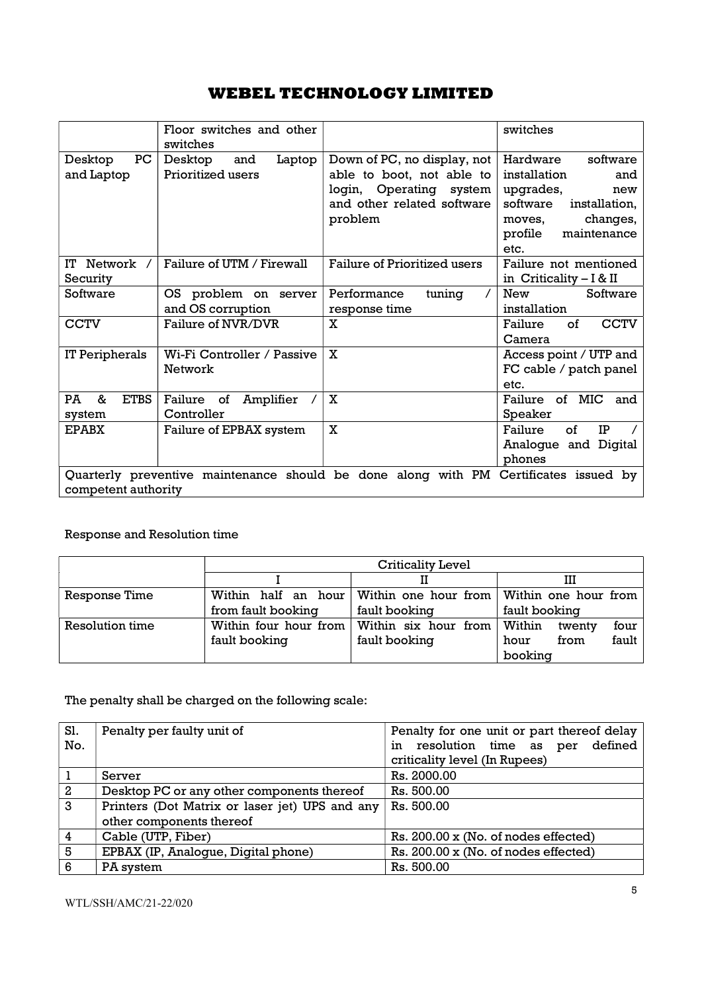|                                  | Floor switches and other<br>switches          |                                                                                                                              | switches                                                                                                                                             |
|----------------------------------|-----------------------------------------------|------------------------------------------------------------------------------------------------------------------------------|------------------------------------------------------------------------------------------------------------------------------------------------------|
| PC<br>Desktop<br>and Laptop      | Laptop<br>Desktop<br>and<br>Prioritized users | Down of PC, no display, not<br>able to boot, not able to<br>login, Operating system<br>and other related software<br>problem | Hardware<br>software<br>installation<br>and<br>upgrades,<br>new<br>software<br>installation,<br>changes,<br>moves,<br>profile<br>maintenance<br>etc. |
| IT Network<br>Security           | Failure of UTM / Firewall                     | Failure of Prioritized users                                                                                                 | Failure not mentioned<br>in Criticality $-1$ & II                                                                                                    |
| Software                         | OS problem on server<br>and OS corruption     | Performance<br>tuning<br>response time                                                                                       | New<br>Software<br>installation                                                                                                                      |
| <b>CCTV</b>                      | Failure of NVR/DVR                            | X                                                                                                                            | $\sigma$ f<br><b>CCTV</b><br>Failure<br>Camera                                                                                                       |
| IT Peripherals                   | Wi-Fi Controller / Passive<br>Network         | X                                                                                                                            | Access point / UTP and<br>FC cable / patch panel<br>etc.                                                                                             |
| &<br><b>ETBS</b><br>PA<br>system | Failure of<br>Amplifier<br>Controller         | $\mathbf{x}$                                                                                                                 | Failure of MIC and<br>Speaker                                                                                                                        |
| <b>EPABX</b>                     | Failure of EPBAX system                       | $\mathbf X$                                                                                                                  | of<br>Failure<br>IP<br>Analogue and Digital<br>phones                                                                                                |
| competent authority              |                                               | Quarterly preventive maintenance should be done along with PM Certificates issued by                                         |                                                                                                                                                      |

## Response and Resolution time

|                 | Criticality Level  |                                              |                          |  |
|-----------------|--------------------|----------------------------------------------|--------------------------|--|
|                 |                    |                                              | ш                        |  |
| Response Time   |                    | Within half an hour Within one hour from     | Within one hour from     |  |
|                 | from fault booking | fault booking                                | fault booking            |  |
| Resolution time |                    | Within four hour from   Within six hour from | Within<br>four<br>twenty |  |
|                 | fault booking      | fault booking                                | fault<br>from<br>hour    |  |
|                 |                    |                                              | booking                  |  |

The penalty shall be charged on the following scale:

| Sl.            | Penalty per faulty unit of                     | Penalty for one unit or part thereof delay |
|----------------|------------------------------------------------|--------------------------------------------|
| No.            |                                                | in resolution time as per defined          |
|                |                                                | criticality level (In Rupees)              |
| -1             | Server                                         | Rs. 2000.00                                |
| $\overline{a}$ | Desktop PC or any other components thereof     | Rs. 500.00                                 |
| $\mathbf{3}$   | Printers (Dot Matrix or laser jet) UPS and any | Rs. 500.00                                 |
|                | other components thereof                       |                                            |
| $\overline{4}$ | Cable (UTP, Fiber)                             | Rs. 200.00 x (No. of nodes effected)       |
| l 5            | EPBAX (IP, Analogue, Digital phone)            | Rs. 200.00 x (No. of nodes effected)       |
| 6              | PA system                                      | Rs. 500.00                                 |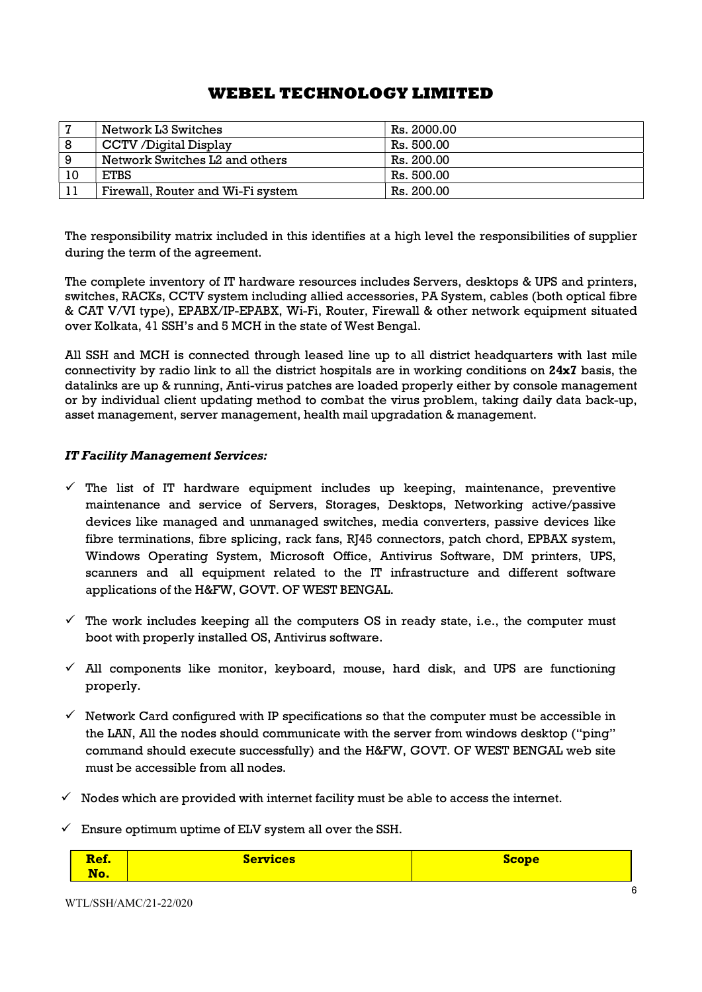| 7  | Network L3 Switches               | Rs. 2000.00 |
|----|-----------------------------------|-------------|
| 8  | CCTV /Digital Display             | Rs. 500.00  |
| 9  | Network Switches L2 and others    | Rs. 200.00  |
| 10 | <b>ETBS</b>                       | Rs. 500.00  |
|    | Firewall, Router and Wi-Fi system | Rs. 200.00  |

The responsibility matrix included in this identifies at a high level the responsibilities of supplier during the term of the agreement.

The complete inventory of IT hardware resources includes Servers, desktops & UPS and printers, switches, RACKs, CCTV system including allied accessories, PA System, cables (both optical fibre & CAT V/VI type), EPABX/IP-EPABX, Wi-Fi, Router, Firewall & other network equipment situated over Kolkata, 41 SSH's and 5 MCH in the state of West Bengal.

All SSH and MCH is connected through leased line up to all district headquarters with last mile connectivity by radio link to all the district hospitals are in working conditions on  $24x7$  basis, the datalinks are up & running, Anti-virus patches are loaded properly either by console management or by individual client updating method to combat the virus problem, taking daily data back-up, asset management, server management, health mail upgradation & management.

## IT Facility Management Services:

- $\checkmark$  The list of IT hardware equipment includes up keeping, maintenance, preventive maintenance and service of Servers, Storages, Desktops, Networking active/passive devices like managed and unmanaged switches, media converters, passive devices like fibre terminations, fibre splicing, rack fans, RJ45 connectors, patch chord, EPBAX system, Windows Operating System, Microsoft Office, Antivirus Software, DM printers, UPS, scanners and all equipment related to the IT infrastructure and different software applications of the H&FW, GOVT. OF WEST BENGAL.
- $\checkmark$  The work includes keeping all the computers OS in ready state, i.e., the computer must boot with properly installed OS, Antivirus software.
- $\checkmark$  All components like monitor, keyboard, mouse, hard disk, and UPS are functioning properly.
- $\checkmark$  Network Card configured with IP specifications so that the computer must be accessible in the LAN, All the nodes should communicate with the server from windows desktop ("ping" command should execute successfully) and the H&FW, GOVT. OF WEST BENGAL web site must be accessible from all nodes.
- $\checkmark$  Nodes which are provided with internet facility must be able to access the internet.
- $\checkmark$  Ensure optimum uptime of ELV system all over the SSH.

| $-$<br>- -<br><u>in the company of the company of the company of the company of the company of the company of the company of the company of the company of the company of the company of the company of the company of the company of the comp</u><br><u>kef.</u> | <u>Services</u> | cope |
|-------------------------------------------------------------------------------------------------------------------------------------------------------------------------------------------------------------------------------------------------------------------|-----------------|------|
| No.                                                                                                                                                                                                                                                               |                 |      |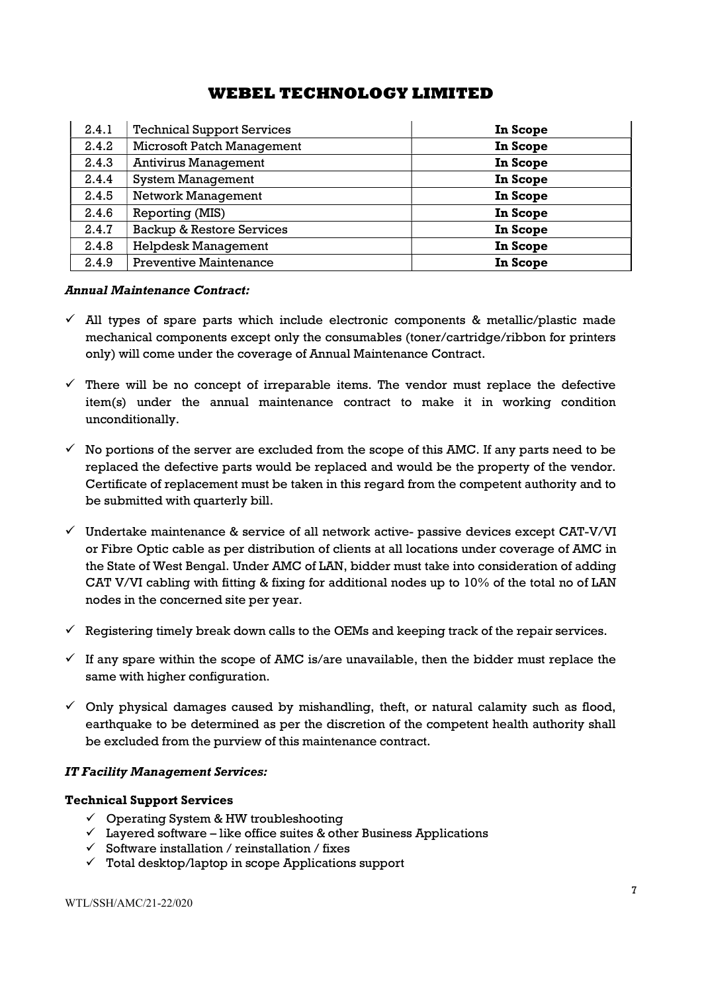| 2.4.1 | <b>Technical Support Services</b>    | In Scope |
|-------|--------------------------------------|----------|
| 2.4.2 | <b>Microsoft Patch Management</b>    | In Scope |
| 2.4.3 | <b>Antivirus Management</b>          | In Scope |
| 2.4.4 | <b>System Management</b>             | In Scope |
| 2.4.5 | Network Management                   | In Scope |
| 2.4.6 | Reporting (MIS)                      | In Scope |
| 2.4.7 | <b>Backup &amp; Restore Services</b> | In Scope |
| 2.4.8 | <b>Helpdesk Management</b>           | In Scope |
| 2.4.9 | <b>Preventive Maintenance</b>        | In Scope |

#### Annual Maintenance Contract:

- $\checkmark$  All types of spare parts which include electronic components & metallic/plastic made mechanical components except only the consumables (toner/cartridge/ribbon for printers only) will come under the coverage of Annual Maintenance Contract.
- $\checkmark$  There will be no concept of irreparable items. The vendor must replace the defective item(s) under the annual maintenance contract to make it in working condition unconditionally.
- $\checkmark$  No portions of the server are excluded from the scope of this AMC. If any parts need to be replaced the defective parts would be replaced and would be the property of the vendor. Certificate of replacement must be taken in this regard from the competent authority and to be submitted with quarterly bill.
- $\checkmark$  Undertake maintenance & service of all network active- passive devices except CAT-V/VI or Fibre Optic cable as per distribution of clients at all locations under coverage of AMC in the State of West Bengal. Under AMC of LAN, bidder must take into consideration of adding CAT V/VI cabling with fitting & fixing for additional nodes up to 10% of the total no of LAN nodes in the concerned site per year.
- $\checkmark$  Registering timely break down calls to the OEMs and keeping track of the repair services.
- $\checkmark$  If any spare within the scope of AMC is/are unavailable, then the bidder must replace the same with higher configuration.
- $\checkmark$  Only physical damages caused by mishandling, theft, or natural calamity such as flood, earthquake to be determined as per the discretion of the competent health authority shall be excluded from the purview of this maintenance contract.

#### IT Facility Management Services:

#### Technical Support Services

- $\checkmark$  Operating System & HW troubleshooting
- $\checkmark$  Layered software like office suites & other Business Applications
- $\checkmark$  Software installation / reinstallation / fixes
- $\checkmark$  Total desktop/laptop in scope Applications support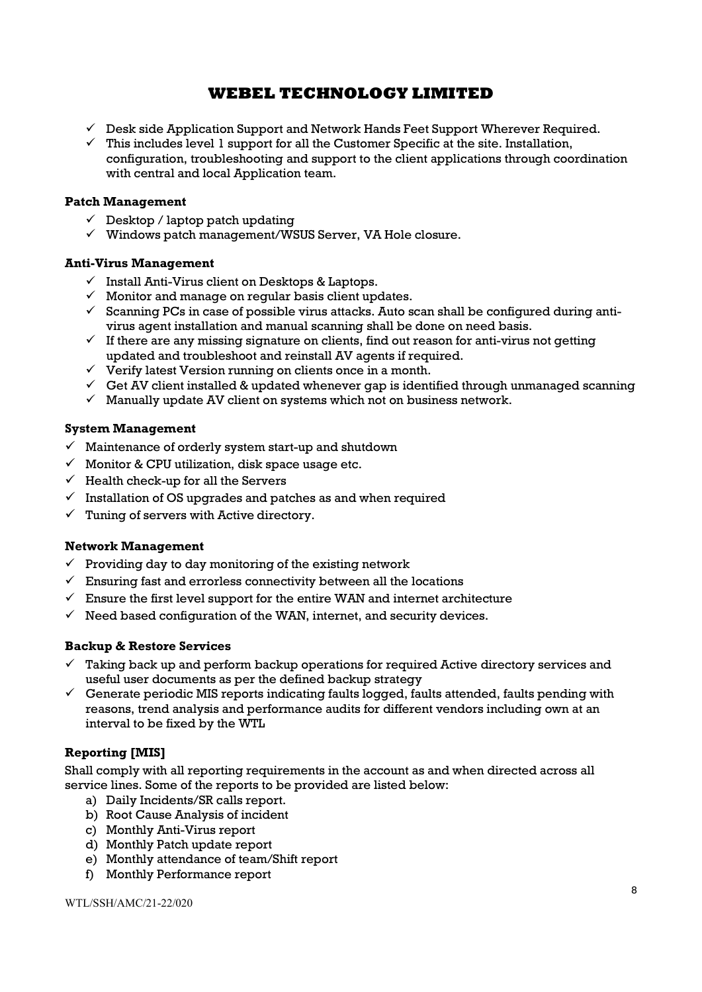- $\checkmark$  Desk side Application Support and Network Hands Feet Support Wherever Required.
- $\checkmark$  This includes level 1 support for all the Customer Specific at the site. Installation, configuration, troubleshooting and support to the client applications through coordination with central and local Application team.

## Patch Management

- $\checkmark$  Desktop / laptop patch updating
- $\checkmark$  Windows patch management/WSUS Server, VA Hole closure.

## Anti-Virus Management

- $\checkmark$  Install Anti-Virus client on Desktops & Laptops.
- $\checkmark$  Monitor and manage on regular basis client updates.
- $\checkmark$  Scanning PCs in case of possible virus attacks. Auto scan shall be configured during antivirus agent installation and manual scanning shall be done on need basis.
- $\checkmark$  If there are any missing signature on clients, find out reason for anti-virus not getting updated and troubleshoot and reinstall AV agents if required.
- Verify latest Version running on clients once in a month.
- $\checkmark$  Get AV client installed & updated whenever gap is identified through unmanaged scanning
- $\checkmark$  Manually update AV client on systems which not on business network.

## System Management

- $\checkmark$  Maintenance of orderly system start-up and shutdown
- $\checkmark$  Monitor & CPU utilization, disk space usage etc.
- $\checkmark$  Health check-up for all the Servers
- $\checkmark$  Installation of OS upgrades and patches as and when required
- $\checkmark$  Tuning of servers with Active directory.

## Network Management

- $\checkmark$  Providing day to day monitoring of the existing network
- $\checkmark$  Ensuring fast and errorless connectivity between all the locations
- $\checkmark$  Ensure the first level support for the entire WAN and internet architecture
- $\checkmark$  Need based configuration of the WAN, internet, and security devices.

## Backup & Restore Services

- $\checkmark$  Taking back up and perform backup operations for required Active directory services and useful user documents as per the defined backup strategy
- $\checkmark$  Generate periodic MIS reports indicating faults logged, faults attended, faults pending with reasons, trend analysis and performance audits for different vendors including own at an interval to be fixed by the WTL

## Reporting [MIS]

Shall comply with all reporting requirements in the account as and when directed across all service lines. Some of the reports to be provided are listed below:

- a) Daily Incidents/SR calls report.
- b) Root Cause Analysis of incident
- c) Monthly Anti-Virus report
- d) Monthly Patch update report
- e) Monthly attendance of team/Shift report
- f) Monthly Performance report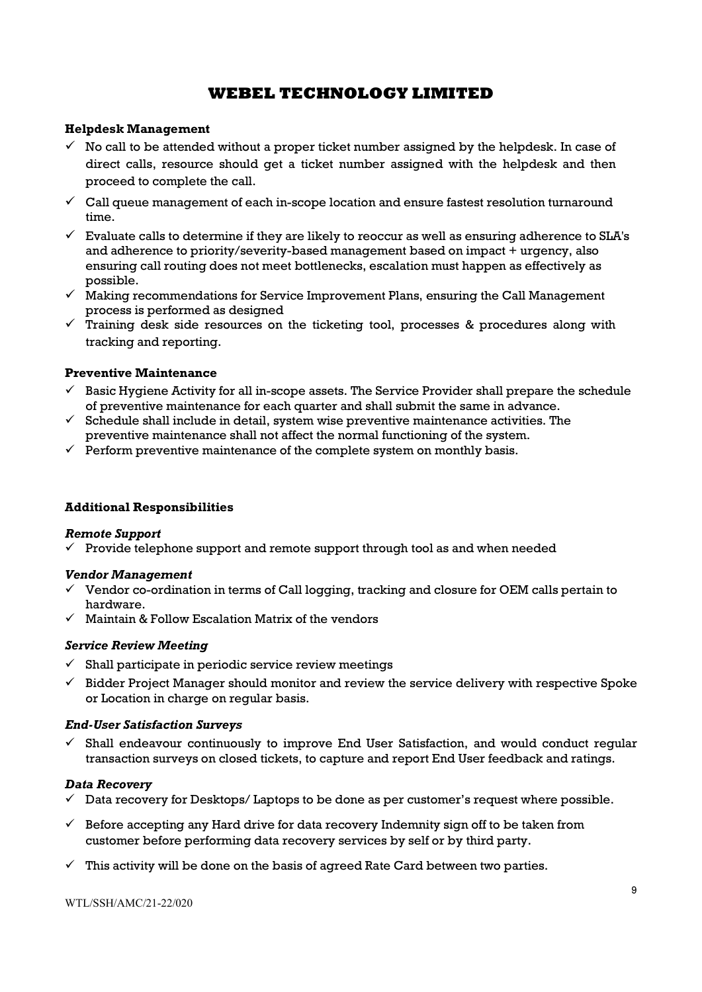### Helpdesk Management

- $\checkmark$  No call to be attended without a proper ticket number assigned by the helpdesk. In case of direct calls, resource should get a ticket number assigned with the helpdesk and then proceed to complete the call.
- $\checkmark$  Call queue management of each in-scope location and ensure fastest resolution turnaround time.
- $\checkmark$  Evaluate calls to determine if they are likely to reoccur as well as ensuring adherence to SLA's and adherence to priority/severity-based management based on impact + urgency, also ensuring call routing does not meet bottlenecks, escalation must happen as effectively as possible.
- $\checkmark$  Making recommendations for Service Improvement Plans, ensuring the Call Management process is performed as designed
- Training desk side resources on the ticketing tool, processes & procedures along with tracking and reporting.

## Preventive Maintenance

- $\checkmark$  Basic Hygiene Activity for all in-scope assets. The Service Provider shall prepare the schedule of preventive maintenance for each quarter and shall submit the same in advance.
- $\checkmark$  Schedule shall include in detail, system wise preventive maintenance activities. The preventive maintenance shall not affect the normal functioning of the system.
- $\checkmark$  Perform preventive maintenance of the complete system on monthly basis.

#### Additional Responsibilities

#### Remote Support

 $\checkmark$  Provide telephone support and remote support through tool as and when needed

#### Vendor Management

- $\checkmark$  Vendor co-ordination in terms of Call logging, tracking and closure for OEM calls pertain to hardware.
- $\checkmark$  Maintain & Follow Escalation Matrix of the vendors

#### Service Review Meeting

- $\checkmark$  Shall participate in periodic service review meetings
- $\checkmark$  Bidder Project Manager should monitor and review the service delivery with respective Spoke or Location in charge on regular basis.

#### End-User Satisfaction Surveys

 Shall endeavour continuously to improve End User Satisfaction, and would conduct regular transaction surveys on closed tickets, to capture and report End User feedback and ratings.

#### Data Recovery

- $\checkmark$  Data recovery for Desktops/ Laptops to be done as per customer's request where possible.
- $\checkmark$  Before accepting any Hard drive for data recovery Indemnity sign off to be taken from customer before performing data recovery services by self or by third party.
- $\checkmark$  This activity will be done on the basis of agreed Rate Card between two parties.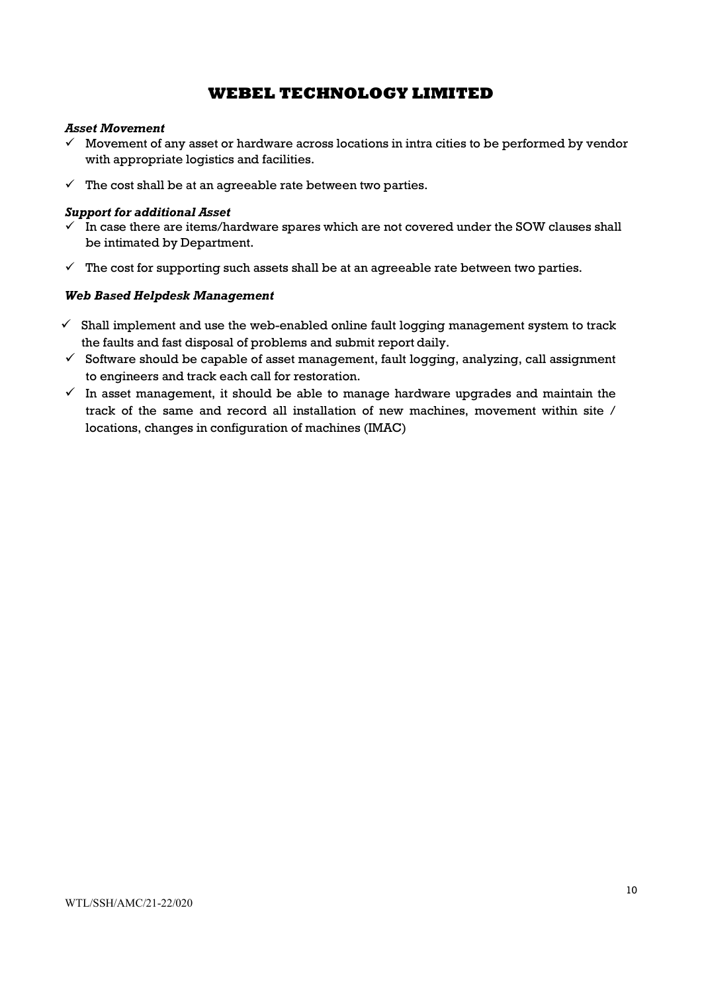### Asset Movement

- $\checkmark$  Movement of any asset or hardware across locations in intra cities to be performed by vendor with appropriate logistics and facilities.
- $\checkmark$  The cost shall be at an agreeable rate between two parties.

## Support for additional Asset

- $\overline{V}$  In case there are items/hardware spares which are not covered under the SOW clauses shall be intimated by Department.
- $\checkmark$  The cost for supporting such assets shall be at an agreeable rate between two parties.

## Web Based Helpdesk Management

- $\checkmark$  Shall implement and use the web-enabled online fault logging management system to track the faults and fast disposal of problems and submit report daily.
- $\checkmark$  Software should be capable of asset management, fault logging, analyzing, call assignment to engineers and track each call for restoration.
- $\checkmark$  In asset management, it should be able to manage hardware upgrades and maintain the track of the same and record all installation of new machines, movement within site / locations, changes in configuration of machines (IMAC)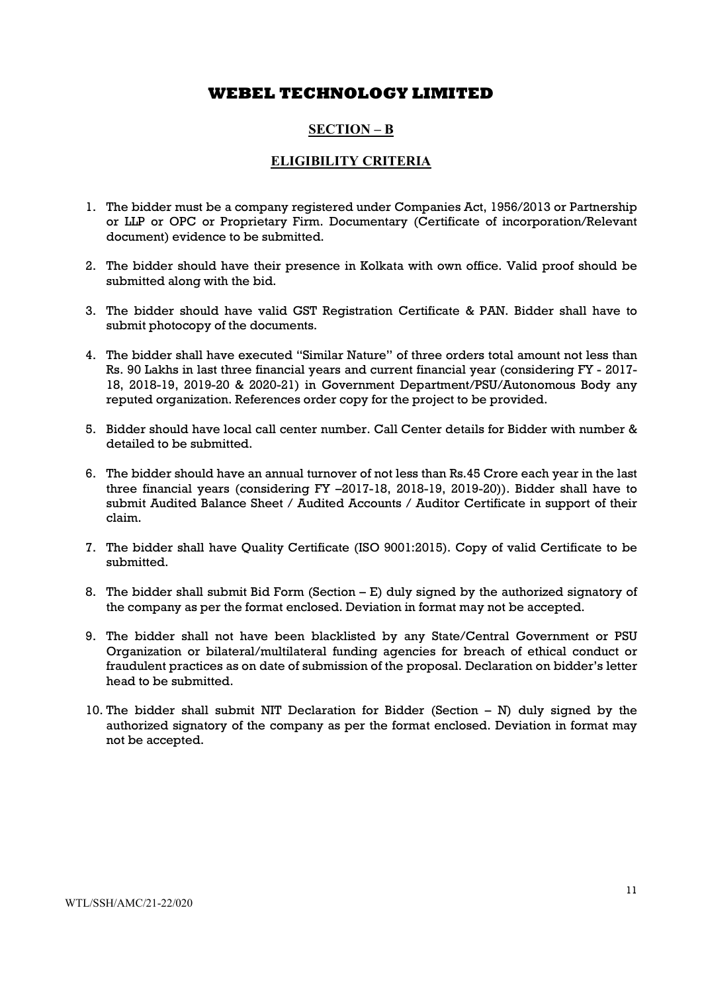## SECTION – B

## ELIGIBILITY CRITERIA

- 1. The bidder must be a company registered under Companies Act, 1956/2013 or Partnership or LLP or OPC or Proprietary Firm. Documentary (Certificate of incorporation/Relevant document) evidence to be submitted.
- 2. The bidder should have their presence in Kolkata with own office. Valid proof should be submitted along with the bid.
- 3. The bidder should have valid GST Registration Certificate & PAN. Bidder shall have to submit photocopy of the documents.
- 4. The bidder shall have executed "Similar Nature" of three orders total amount not less than Rs. 90 Lakhs in last three financial years and current financial year (considering FY - 2017- 18, 2018-19, 2019-20 & 2020-21) in Government Department/PSU/Autonomous Body any reputed organization. References order copy for the project to be provided.
- 5. Bidder should have local call center number. Call Center details for Bidder with number & detailed to be submitted.
- 6. The bidder should have an annual turnover of not less than Rs.45 Crore each year in the last three financial years (considering FY –2017-18, 2018-19, 2019-20)). Bidder shall have to submit Audited Balance Sheet / Audited Accounts / Auditor Certificate in support of their claim.
- 7. The bidder shall have Quality Certificate (ISO 9001:2015). Copy of valid Certificate to be submitted.
- 8. The bidder shall submit Bid Form (Section E) duly signed by the authorized signatory of the company as per the format enclosed. Deviation in format may not be accepted.
- 9. The bidder shall not have been blacklisted by any State/Central Government or PSU Organization or bilateral/multilateral funding agencies for breach of ethical conduct or fraudulent practices as on date of submission of the proposal. Declaration on bidder's letter head to be submitted.
- 10. The bidder shall submit NIT Declaration for Bidder (Section N) duly signed by the authorized signatory of the company as per the format enclosed. Deviation in format may not be accepted.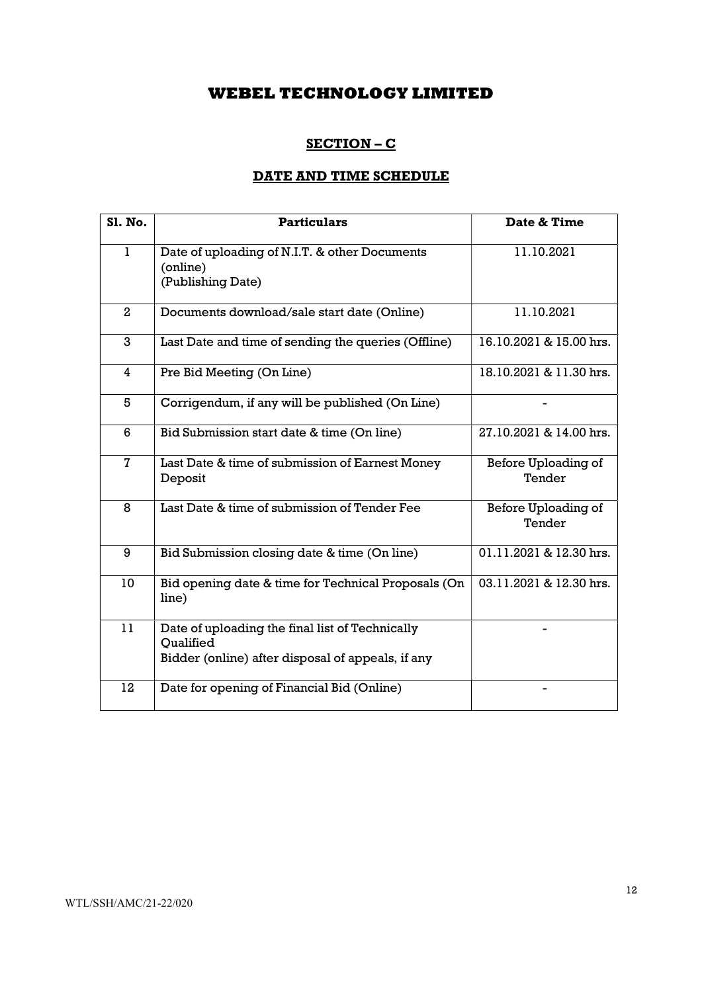## SECTION – C

# DATE AND TIME SCHEDULE

| <b>S1. No.</b> | <b>Particulars</b>                                                                                                | Date & Time                   |
|----------------|-------------------------------------------------------------------------------------------------------------------|-------------------------------|
| 1              | Date of uploading of N.I.T. & other Documents<br>(online)<br>(Publishing Date)                                    | 11.10.2021                    |
| $\overline{2}$ | Documents download/sale start date (Online)                                                                       | 11.10.2021                    |
| 3              | Last Date and time of sending the queries (Offline)                                                               | 16.10.2021 & 15.00 hrs.       |
| 4              | Pre Bid Meeting (On Line)                                                                                         | 18.10.2021 & 11.30 hrs.       |
| 5              | Corrigendum, if any will be published (On Line)                                                                   |                               |
| 6              | Bid Submission start date & time (On line)                                                                        | 27.10.2021 & 14.00 hrs.       |
| $\overline{7}$ | Last Date & time of submission of Earnest Money<br>Deposit                                                        | Before Uploading of<br>Tender |
| 8              | Last Date & time of submission of Tender Fee                                                                      | Before Uploading of<br>Tender |
| 9              | Bid Submission closing date & time (On line)                                                                      | 01.11.2021 & 12.30 hrs.       |
| 10             | Bid opening date & time for Technical Proposals (On<br>line)                                                      | 03.11.2021 & 12.30 hrs.       |
| 11             | Date of uploading the final list of Technically<br>Oualified<br>Bidder (online) after disposal of appeals, if any |                               |
| 12             | Date for opening of Financial Bid (Online)                                                                        |                               |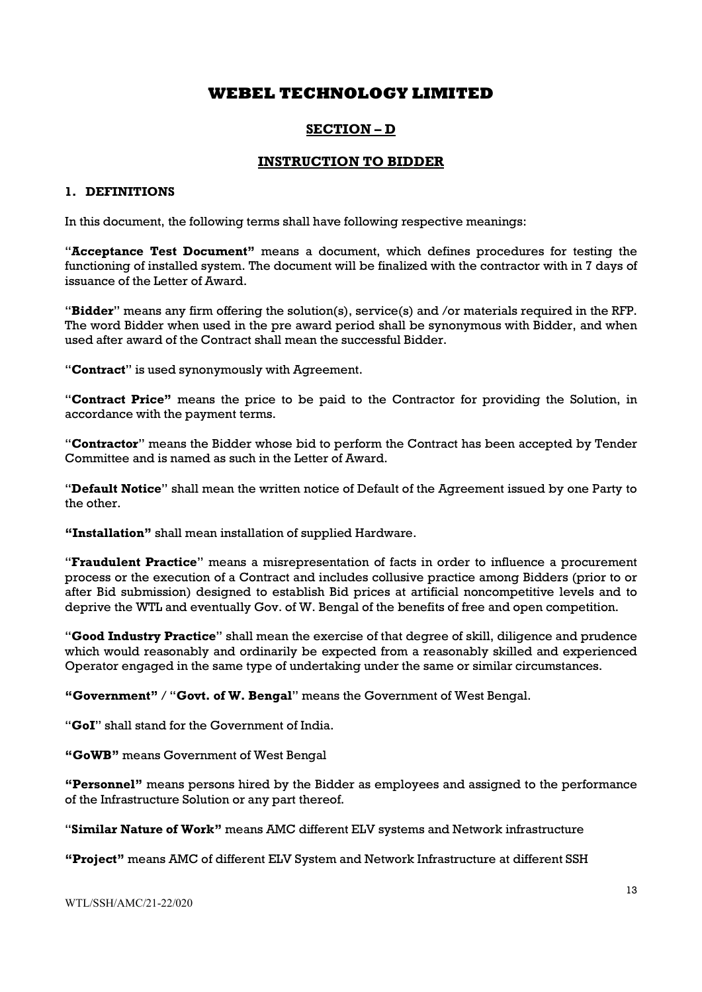## SECTION – D

## INSTRUCTION TO BIDDER

#### 1. DEFINITIONS

In this document, the following terms shall have following respective meanings:

"Acceptance Test Document" means a document, which defines procedures for testing the functioning of installed system. The document will be finalized with the contractor with in 7 days of issuance of the Letter of Award.

"Bidder" means any firm offering the solution(s), service(s) and /or materials required in the RFP. The word Bidder when used in the pre award period shall be synonymous with Bidder, and when used after award of the Contract shall mean the successful Bidder.

"Contract" is used synonymously with Agreement.

"Contract Price" means the price to be paid to the Contractor for providing the Solution, in accordance with the payment terms.

"Contractor" means the Bidder whose bid to perform the Contract has been accepted by Tender Committee and is named as such in the Letter of Award.

"Default Notice" shall mean the written notice of Default of the Agreement issued by one Party to the other.

"Installation" shall mean installation of supplied Hardware.

"Fraudulent Practice" means a misrepresentation of facts in order to influence a procurement process or the execution of a Contract and includes collusive practice among Bidders (prior to or after Bid submission) designed to establish Bid prices at artificial noncompetitive levels and to deprive the WTL and eventually Gov. of W. Bengal of the benefits of free and open competition.

"Good Industry Practice" shall mean the exercise of that degree of skill, diligence and prudence which would reasonably and ordinarily be expected from a reasonably skilled and experienced Operator engaged in the same type of undertaking under the same or similar circumstances.

"Government" / "Govt. of W. Bengal" means the Government of West Bengal.

"GoI" shall stand for the Government of India.

"GoWB" means Government of West Bengal

"Personnel" means persons hired by the Bidder as employees and assigned to the performance of the Infrastructure Solution or any part thereof.

"Similar Nature of Work" means AMC different ELV systems and Network infrastructure

"Project" means AMC of different ELV System and Network Infrastructure at different SSH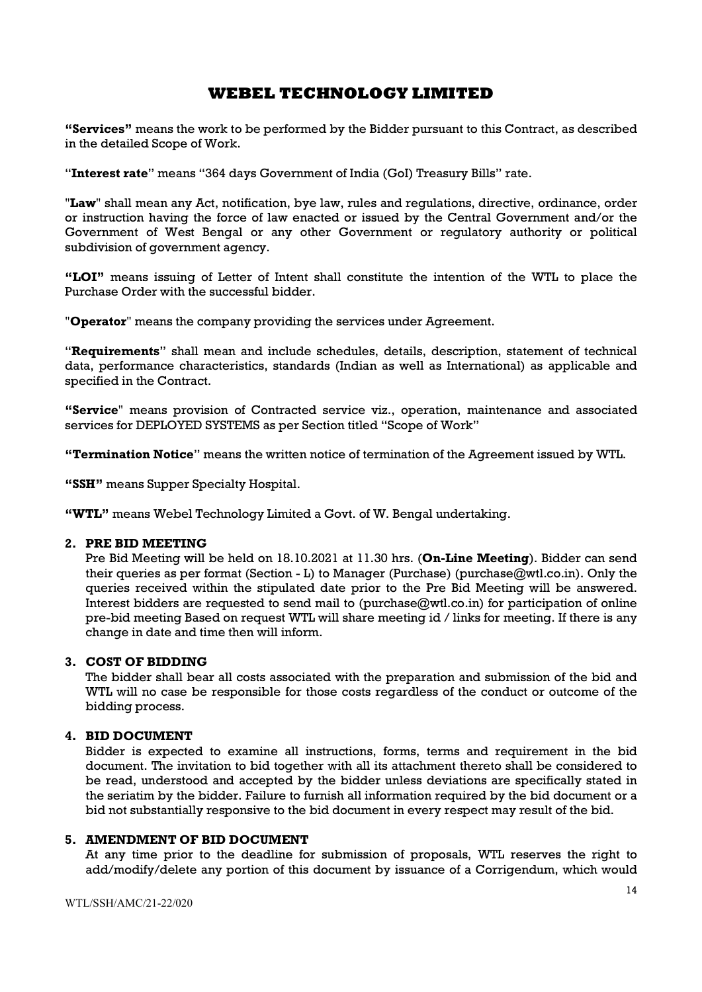"Services" means the work to be performed by the Bidder pursuant to this Contract, as described in the detailed Scope of Work.

"Interest rate" means "364 days Government of India (GoI) Treasury Bills" rate.

"Law" shall mean any Act, notification, bye law, rules and requlations, directive, ordinance, order or instruction having the force of law enacted or issued by the Central Government and/or the Government of West Bengal or any other Government or regulatory authority or political subdivision of government agency.

"LOI" means issuing of Letter of Intent shall constitute the intention of the WTL to place the Purchase Order with the successful bidder.

"Operator" means the company providing the services under Agreement.

"Requirements" shall mean and include schedules, details, description, statement of technical data, performance characteristics, standards (Indian as well as International) as applicable and specified in the Contract.

"Service" means provision of Contracted service viz., operation, maintenance and associated services for DEPLOYED SYSTEMS as per Section titled "Scope of Work"

"Termination Notice" means the written notice of termination of the Agreement issued by WTL.

"SSH" means Supper Specialty Hospital.

"WTL" means Webel Technology Limited a Govt. of W. Bengal undertaking.

#### 2. PRE BID MEETING

Pre Bid Meeting will be held on 18.10.2021 at 11.30 hrs. (On-Line Meeting). Bidder can send their queries as per format (Section - L) to Manager (Purchase) (purchase@wtl.co.in). Only the queries received within the stipulated date prior to the Pre Bid Meeting will be answered. Interest bidders are requested to send mail to (purchase@wtl.co.in) for participation of online pre-bid meeting Based on request WTL will share meeting id / links for meeting. If there is any change in date and time then will inform.

## 3. COST OF BIDDING

The bidder shall bear all costs associated with the preparation and submission of the bid and WTL will no case be responsible for those costs regardless of the conduct or outcome of the bidding process.

#### 4. BID DOCUMENT

Bidder is expected to examine all instructions, forms, terms and requirement in the bid document. The invitation to bid together with all its attachment thereto shall be considered to be read, understood and accepted by the bidder unless deviations are specifically stated in the seriatim by the bidder. Failure to furnish all information required by the bid document or a bid not substantially responsive to the bid document in every respect may result of the bid.

#### 5. AMENDMENT OF BID DOCUMENT

At any time prior to the deadline for submission of proposals, WTL reserves the right to add/modify/delete any portion of this document by issuance of a Corrigendum, which would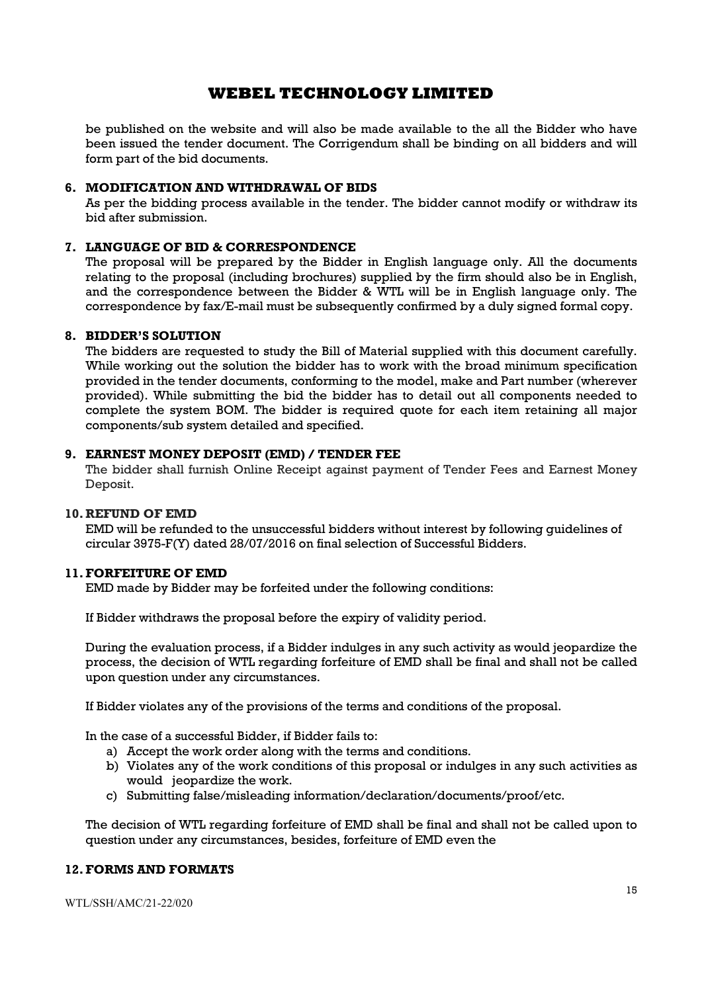be published on the website and will also be made available to the all the Bidder who have been issued the tender document. The Corrigendum shall be binding on all bidders and will form part of the bid documents.

#### 6. MODIFICATION AND WITHDRAWAL OF BIDS

As per the bidding process available in the tender. The bidder cannot modify or withdraw its bid after submission.

#### 7. LANGUAGE OF BID & CORRESPONDENCE

The proposal will be prepared by the Bidder in English language only. All the documents relating to the proposal (including brochures) supplied by the firm should also be in English, and the correspondence between the Bidder & WTL will be in English language only. The correspondence by fax/E-mail must be subsequently confirmed by a duly signed formal copy.

#### 8. BIDDER'S SOLUTION

The bidders are requested to study the Bill of Material supplied with this document carefully. While working out the solution the bidder has to work with the broad minimum specification provided in the tender documents, conforming to the model, make and Part number (wherever provided). While submitting the bid the bidder has to detail out all components needed to complete the system BOM. The bidder is required quote for each item retaining all major components/sub system detailed and specified.

## 9. EARNEST MONEY DEPOSIT (EMD) / TENDER FEE

The bidder shall furnish Online Receipt against payment of Tender Fees and Earnest Money Deposit.

#### 10. REFUND OF EMD

EMD will be refunded to the unsuccessful bidders without interest by following guidelines of circular 3975-F(Y) dated 28/07/2016 on final selection of Successful Bidders.

#### 11.FORFEITURE OF EMD

EMD made by Bidder may be forfeited under the following conditions:

If Bidder withdraws the proposal before the expiry of validity period.

During the evaluation process, if a Bidder indulges in any such activity as would jeopardize the process, the decision of WTL regarding forfeiture of EMD shall be final and shall not be called upon question under any circumstances.

If Bidder violates any of the provisions of the terms and conditions of the proposal.

In the case of a successful Bidder, if Bidder fails to:

- a) Accept the work order along with the terms and conditions.
- b) Violates any of the work conditions of this proposal or indulges in any such activities as would jeopardize the work.
- c) Submitting false/misleading information/declaration/documents/proof/etc.

The decision of WTL regarding forfeiture of EMD shall be final and shall not be called upon to question under any circumstances, besides, forfeiture of EMD even the

## 12.FORMS AND FORMATS

WTL/SSH/AMC/21-22/020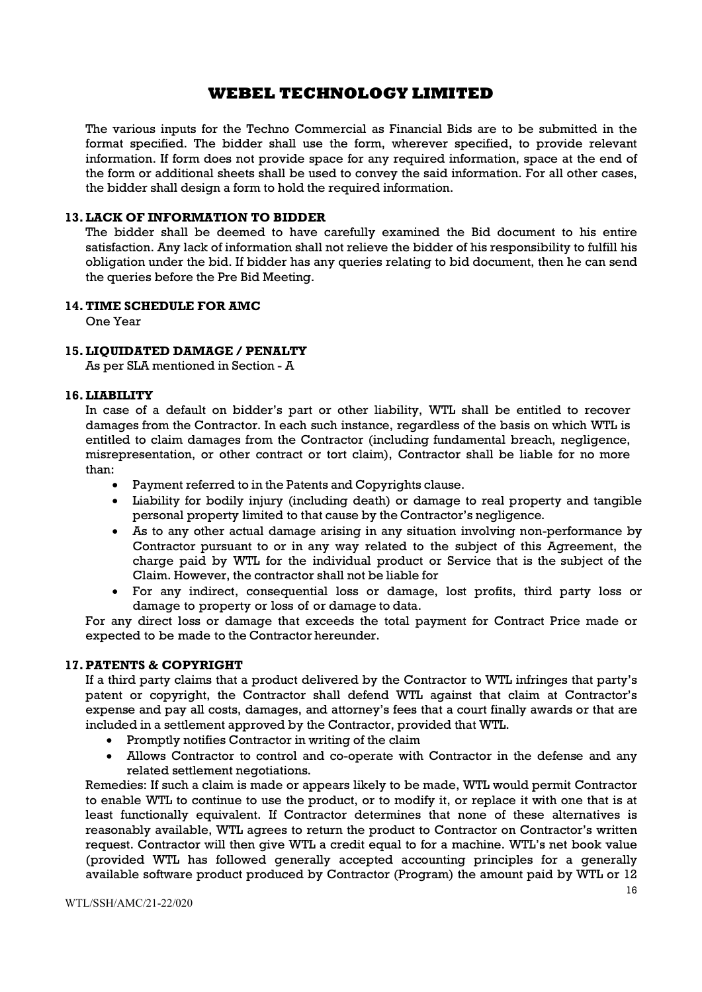The various inputs for the Techno Commercial as Financial Bids are to be submitted in the format specified. The bidder shall use the form, wherever specified, to provide relevant information. If form does not provide space for any required information, space at the end of the form or additional sheets shall be used to convey the said information. For all other cases, the bidder shall design a form to hold the required information.

#### 13.LACK OF INFORMATION TO BIDDER

The bidder shall be deemed to have carefully examined the Bid document to his entire satisfaction. Any lack of information shall not relieve the bidder of his responsibility to fulfill his obligation under the bid. If bidder has any queries relating to bid document, then he can send the queries before the Pre Bid Meeting.

#### 14.TIME SCHEDULE FOR AMC

One Year

#### 15.LIQUIDATED DAMAGE / PENALTY

As per SLA mentioned in Section - A

#### 16.LIABILITY

In case of a default on bidder's part or other liability, WTL shall be entitled to recover damages from the Contractor. In each such instance, regardless of the basis on which WTL is entitled to claim damages from the Contractor (including fundamental breach, negligence, misrepresentation, or other contract or tort claim), Contractor shall be liable for no more than:

- Payment referred to in the Patents and Copyrights clause.
- Liability for bodily injury (including death) or damage to real property and tangible personal property limited to that cause by the Contractor's negligence.
- As to any other actual damage arising in any situation involving non-performance by Contractor pursuant to or in any way related to the subject of this Agreement, the charge paid by WTL for the individual product or Service that is the subject of the Claim. However, the contractor shall not be liable for
- For any indirect, consequential loss or damage, lost profits, third party loss or damage to property or loss of or damage to data.

For any direct loss or damage that exceeds the total payment for Contract Price made or expected to be made to the Contractor hereunder.

#### 17.PATENTS & COPYRIGHT

If a third party claims that a product delivered by the Contractor to WTL infringes that party's patent or copyright, the Contractor shall defend WTL against that claim at Contractor's expense and pay all costs, damages, and attorney's fees that a court finally awards or that are included in a settlement approved by the Contractor, provided that WTL.

- Promptly notifies Contractor in writing of the claim
- Allows Contractor to control and co-operate with Contractor in the defense and any related settlement negotiations.

Remedies: If such a claim is made or appears likely to be made, WTL would permit Contractor to enable WTL to continue to use the product, or to modify it, or replace it with one that is at least functionally equivalent. If Contractor determines that none of these alternatives is reasonably available, WTL agrees to return the product to Contractor on Contractor's written request. Contractor will then give WTL a credit equal to for a machine. WTL's net book value (provided WTL has followed generally accepted accounting principles for a generally available software product produced by Contractor (Program) the amount paid by WTL or 12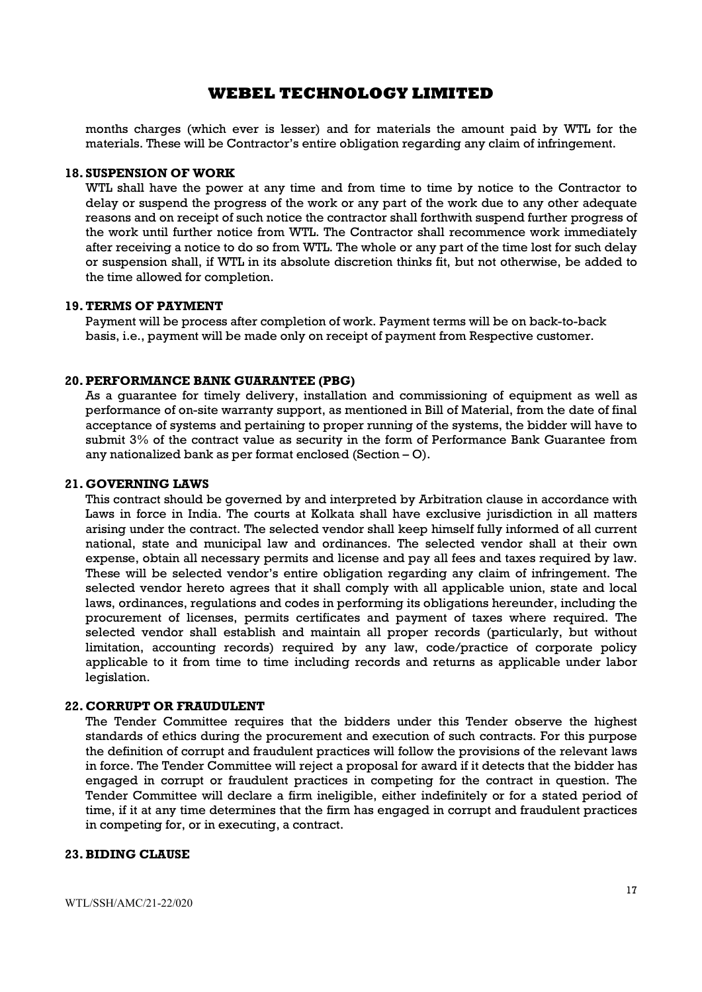months charges (which ever is lesser) and for materials the amount paid by WTL for the materials. These will be Contractor's entire obligation regarding any claim of infringement.

#### 18. SUSPENSION OF WORK

WTL shall have the power at any time and from time to time by notice to the Contractor to delay or suspend the progress of the work or any part of the work due to any other adequate reasons and on receipt of such notice the contractor shall forthwith suspend further progress of the work until further notice from WTL. The Contractor shall recommence work immediately after receiving a notice to do so from WTL. The whole or any part of the time lost for such delay or suspension shall, if WTL in its absolute discretion thinks fit, but not otherwise, be added to the time allowed for completion.

#### 19.TERMS OF PAYMENT

Payment will be process after completion of work. Payment terms will be on back-to-back basis, i.e., payment will be made only on receipt of payment from Respective customer.

#### 20.PERFORMANCE BANK GUARANTEE (PBG)

As a guarantee for timely delivery, installation and commissioning of equipment as well as performance of on-site warranty support, as mentioned in Bill of Material, from the date of final acceptance of systems and pertaining to proper running of the systems, the bidder will have to submit 3% of the contract value as security in the form of Performance Bank Guarantee from any nationalized bank as per format enclosed (Section – O).

#### 21. GOVERNING LAWS

This contract should be governed by and interpreted by Arbitration clause in accordance with Laws in force in India. The courts at Kolkata shall have exclusive jurisdiction in all matters arising under the contract. The selected vendor shall keep himself fully informed of all current national, state and municipal law and ordinances. The selected vendor shall at their own expense, obtain all necessary permits and license and pay all fees and taxes required by law. These will be selected vendor's entire obligation regarding any claim of infringement. The selected vendor hereto agrees that it shall comply with all applicable union, state and local laws, ordinances, regulations and codes in performing its obligations hereunder, including the procurement of licenses, permits certificates and payment of taxes where required. The selected vendor shall establish and maintain all proper records (particularly, but without limitation, accounting records) required by any law, code/practice of corporate policy applicable to it from time to time including records and returns as applicable under labor legislation.

#### 22. CORRUPT OR FRAUDULENT

The Tender Committee requires that the bidders under this Tender observe the highest standards of ethics during the procurement and execution of such contracts. For this purpose the definition of corrupt and fraudulent practices will follow the provisions of the relevant laws in force. The Tender Committee will reject a proposal for award if it detects that the bidder has engaged in corrupt or fraudulent practices in competing for the contract in question. The Tender Committee will declare a firm ineligible, either indefinitely or for a stated period of time, if it at any time determines that the firm has engaged in corrupt and fraudulent practices in competing for, or in executing, a contract.

#### 23.BIDING CLAUSE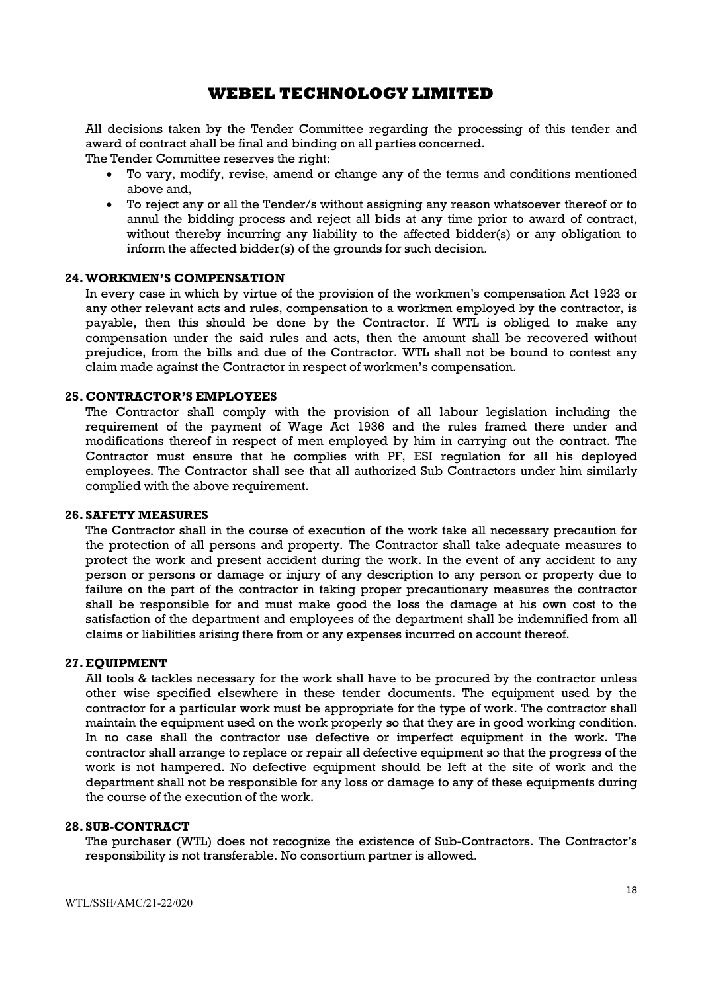All decisions taken by the Tender Committee regarding the processing of this tender and award of contract shall be final and binding on all parties concerned.

The Tender Committee reserves the right:

- To vary, modify, revise, amend or change any of the terms and conditions mentioned above and,
- To reject any or all the Tender/s without assigning any reason whatsoever thereof or to annul the bidding process and reject all bids at any time prior to award of contract, without thereby incurring any liability to the affected bidder(s) or any obligation to inform the affected bidder(s) of the grounds for such decision.

#### 24.WORKMEN'S COMPENSATION

In every case in which by virtue of the provision of the workmen's compensation Act 1923 or any other relevant acts and rules, compensation to a workmen employed by the contractor, is payable, then this should be done by the Contractor. If WTL is obliged to make any compensation under the said rules and acts, then the amount shall be recovered without prejudice, from the bills and due of the Contractor. WTL shall not be bound to contest any claim made against the Contractor in respect of workmen's compensation.

#### 25. CONTRACTOR'S EMPLOYEES

The Contractor shall comply with the provision of all labour legislation including the requirement of the payment of Wage Act 1936 and the rules framed there under and modifications thereof in respect of men employed by him in carrying out the contract. The Contractor must ensure that he complies with PF, ESI regulation for all his deployed employees. The Contractor shall see that all authorized Sub Contractors under him similarly complied with the above requirement.

#### 26. SAFETY MEASURES

The Contractor shall in the course of execution of the work take all necessary precaution for the protection of all persons and property. The Contractor shall take adequate measures to protect the work and present accident during the work. In the event of any accident to any person or persons or damage or injury of any description to any person or property due to failure on the part of the contractor in taking proper precautionary measures the contractor shall be responsible for and must make good the loss the damage at his own cost to the satisfaction of the department and employees of the department shall be indemnified from all claims or liabilities arising there from or any expenses incurred on account thereof.

#### 27.EQUIPMENT

All tools & tackles necessary for the work shall have to be procured by the contractor unless other wise specified elsewhere in these tender documents. The equipment used by the contractor for a particular work must be appropriate for the type of work. The contractor shall maintain the equipment used on the work properly so that they are in good working condition. In no case shall the contractor use defective or imperfect equipment in the work. The contractor shall arrange to replace or repair all defective equipment so that the progress of the work is not hampered. No defective equipment should be left at the site of work and the department shall not be responsible for any loss or damage to any of these equipments during the course of the execution of the work.

#### 28. SUB-CONTRACT

The purchaser (WTL) does not recognize the existence of Sub-Contractors. The Contractor's responsibility is not transferable. No consortium partner is allowed.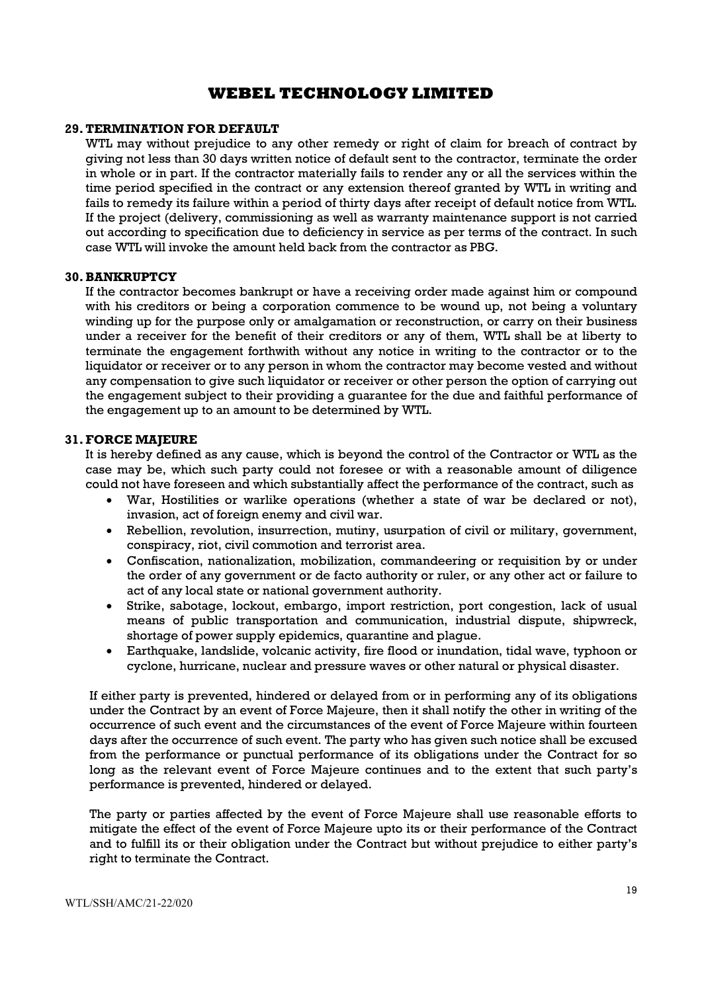#### 29.TERMINATION FOR DEFAULT

WTL may without prejudice to any other remedy or right of claim for breach of contract by giving not less than 30 days written notice of default sent to the contractor, terminate the order in whole or in part. If the contractor materially fails to render any or all the services within the time period specified in the contract or any extension thereof granted by WTL in writing and fails to remedy its failure within a period of thirty days after receipt of default notice from WTL. If the project (delivery, commissioning as well as warranty maintenance support is not carried out according to specification due to deficiency in service as per terms of the contract. In such case WTL will invoke the amount held back from the contractor as PBG.

#### 30.BANKRUPTCY

If the contractor becomes bankrupt or have a receiving order made against him or compound with his creditors or being a corporation commence to be wound up, not being a voluntary winding up for the purpose only or amalgamation or reconstruction, or carry on their business under a receiver for the benefit of their creditors or any of them, WTL shall be at liberty to terminate the engagement forthwith without any notice in writing to the contractor or to the liquidator or receiver or to any person in whom the contractor may become vested and without any compensation to give such liquidator or receiver or other person the option of carrying out the engagement subject to their providing a guarantee for the due and faithful performance of the engagement up to an amount to be determined by WTL.

#### 31.FORCE MAJEURE

It is hereby defined as any cause, which is beyond the control of the Contractor or WTL as the case may be, which such party could not foresee or with a reasonable amount of diligence could not have foreseen and which substantially affect the performance of the contract, such as

- War, Hostilities or warlike operations (whether a state of war be declared or not), invasion, act of foreign enemy and civil war.
- Rebellion, revolution, insurrection, mutiny, usurpation of civil or military, government, conspiracy, riot, civil commotion and terrorist area.
- Confiscation, nationalization, mobilization, commandeering or requisition by or under the order of any government or de facto authority or ruler, or any other act or failure to act of any local state or national government authority.
- Strike, sabotage, lockout, embargo, import restriction, port congestion, lack of usual means of public transportation and communication, industrial dispute, shipwreck, shortage of power supply epidemics, quarantine and plague.
- Earthquake, landslide, volcanic activity, fire flood or inundation, tidal wave, typhoon or cyclone, hurricane, nuclear and pressure waves or other natural or physical disaster.

If either party is prevented, hindered or delayed from or in performing any of its obligations under the Contract by an event of Force Majeure, then it shall notify the other in writing of the occurrence of such event and the circumstances of the event of Force Majeure within fourteen days after the occurrence of such event. The party who has given such notice shall be excused from the performance or punctual performance of its obligations under the Contract for so long as the relevant event of Force Majeure continues and to the extent that such party's performance is prevented, hindered or delayed.

The party or parties affected by the event of Force Majeure shall use reasonable efforts to mitigate the effect of the event of Force Majeure upto its or their performance of the Contract and to fulfill its or their obligation under the Contract but without prejudice to either party's right to terminate the Contract.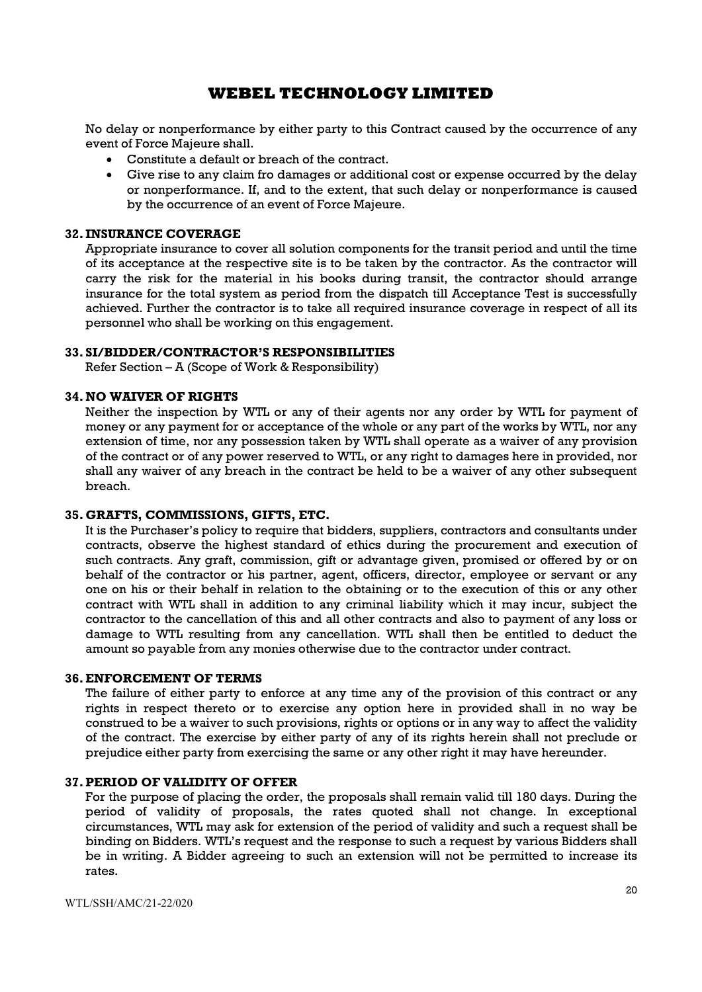No delay or nonperformance by either party to this Contract caused by the occurrence of any event of Force Majeure shall.

- Constitute a default or breach of the contract.
- Give rise to any claim fro damages or additional cost or expense occurred by the delay or nonperformance. If, and to the extent, that such delay or nonperformance is caused by the occurrence of an event of Force Majeure.

#### 32. INSURANCE COVERAGE

Appropriate insurance to cover all solution components for the transit period and until the time of its acceptance at the respective site is to be taken by the contractor. As the contractor will carry the risk for the material in his books during transit, the contractor should arrange insurance for the total system as period from the dispatch till Acceptance Test is successfully achieved. Further the contractor is to take all required insurance coverage in respect of all its personnel who shall be working on this engagement.

#### 33. SI/BIDDER/CONTRACTOR'S RESPONSIBILITIES

Refer Section – A (Scope of Work & Responsibility)

#### 34.NO WAIVER OF RIGHTS

Neither the inspection by WTL or any of their agents nor any order by WTL for payment of money or any payment for or acceptance of the whole or any part of the works by WTL, nor any extension of time, nor any possession taken by WTL shall operate as a waiver of any provision of the contract or of any power reserved to WTL, or any right to damages here in provided, nor shall any waiver of any breach in the contract be held to be a waiver of any other subsequent breach.

#### 35. GRAFTS, COMMISSIONS, GIFTS, ETC.

It is the Purchaser's policy to require that bidders, suppliers, contractors and consultants under contracts, observe the highest standard of ethics during the procurement and execution of such contracts. Any graft, commission, gift or advantage given, promised or offered by or on behalf of the contractor or his partner, agent, officers, director, employee or servant or any one on his or their behalf in relation to the obtaining or to the execution of this or any other contract with WTL shall in addition to any criminal liability which it may incur, subject the contractor to the cancellation of this and all other contracts and also to payment of any loss or damage to WTL resulting from any cancellation. WTL shall then be entitled to deduct the amount so payable from any monies otherwise due to the contractor under contract.

#### 36.ENFORCEMENT OF TERMS

The failure of either party to enforce at any time any of the provision of this contract or any rights in respect thereto or to exercise any option here in provided shall in no way be construed to be a waiver to such provisions, rights or options or in any way to affect the validity of the contract. The exercise by either party of any of its rights herein shall not preclude or prejudice either party from exercising the same or any other right it may have hereunder.

#### 37.PERIOD OF VALIDITY OF OFFER

For the purpose of placing the order, the proposals shall remain valid till 180 days. During the period of validity of proposals, the rates quoted shall not change. In exceptional circumstances, WTL may ask for extension of the period of validity and such a request shall be binding on Bidders. WTL's request and the response to such a request by various Bidders shall be in writing. A Bidder agreeing to such an extension will not be permitted to increase its rates.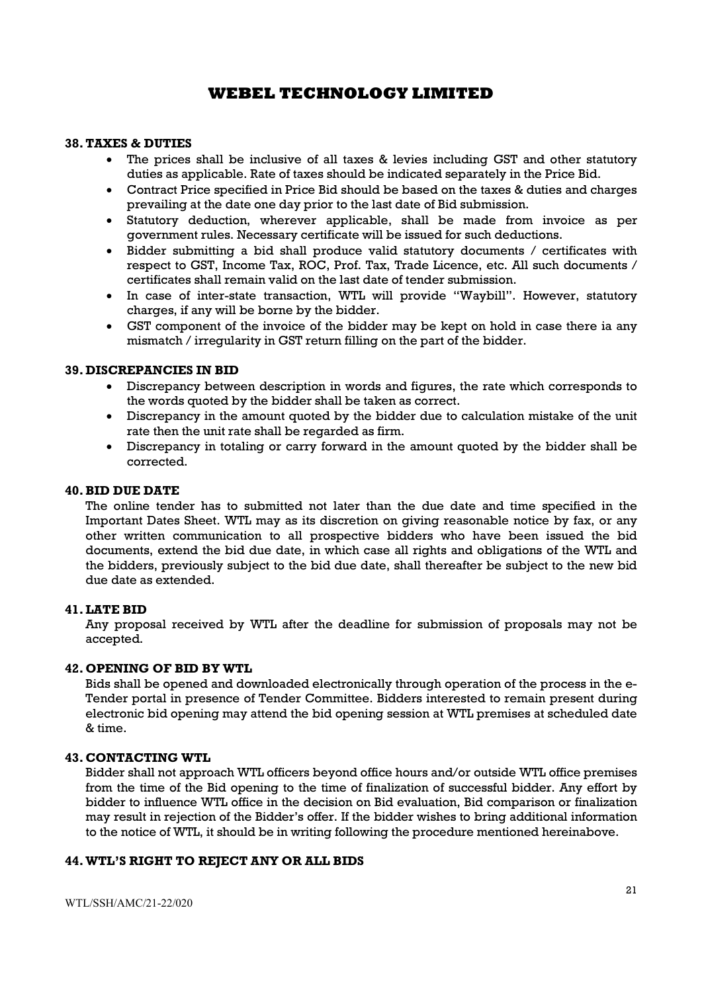#### 38.TAXES & DUTIES

- The prices shall be inclusive of all taxes & levies including GST and other statutory duties as applicable. Rate of taxes should be indicated separately in the Price Bid.
- Contract Price specified in Price Bid should be based on the taxes & duties and charges prevailing at the date one day prior to the last date of Bid submission.
- Statutory deduction, wherever applicable, shall be made from invoice as per government rules. Necessary certificate will be issued for such deductions.
- Bidder submitting a bid shall produce valid statutory documents / certificates with respect to GST, Income Tax, ROC, Prof. Tax, Trade Licence, etc. All such documents / certificates shall remain valid on the last date of tender submission.
- In case of inter-state transaction, WTL will provide "Waybill". However, statutory charges, if any will be borne by the bidder.
- GST component of the invoice of the bidder may be kept on hold in case there ia any mismatch / irregularity in GST return filling on the part of the bidder.

#### 39. DISCREPANCIES IN BID

- Discrepancy between description in words and figures, the rate which corresponds to the words quoted by the bidder shall be taken as correct.
- Discrepancy in the amount quoted by the bidder due to calculation mistake of the unit rate then the unit rate shall be regarded as firm.
- Discrepancy in totaling or carry forward in the amount quoted by the bidder shall be corrected.

#### 40.BID DUE DATE

The online tender has to submitted not later than the due date and time specified in the Important Dates Sheet. WTL may as its discretion on giving reasonable notice by fax, or any other written communication to all prospective bidders who have been issued the bid documents, extend the bid due date, in which case all rights and obligations of the WTL and the bidders, previously subject to the bid due date, shall thereafter be subject to the new bid due date as extended.

#### 41.LATE BID

Any proposal received by WTL after the deadline for submission of proposals may not be accepted.

#### 42. OPENING OF BID BY WTL

Bids shall be opened and downloaded electronically through operation of the process in the e-Tender portal in presence of Tender Committee. Bidders interested to remain present during electronic bid opening may attend the bid opening session at WTL premises at scheduled date & time.

#### 43. CONTACTING WTL

Bidder shall not approach WTL officers beyond office hours and/or outside WTL office premises from the time of the Bid opening to the time of finalization of successful bidder. Any effort by bidder to influence WTL office in the decision on Bid evaluation, Bid comparison or finalization may result in rejection of the Bidder's offer. If the bidder wishes to bring additional information to the notice of WTL, it should be in writing following the procedure mentioned hereinabove.

#### 44.WTL'S RIGHT TO REJECT ANY OR ALL BIDS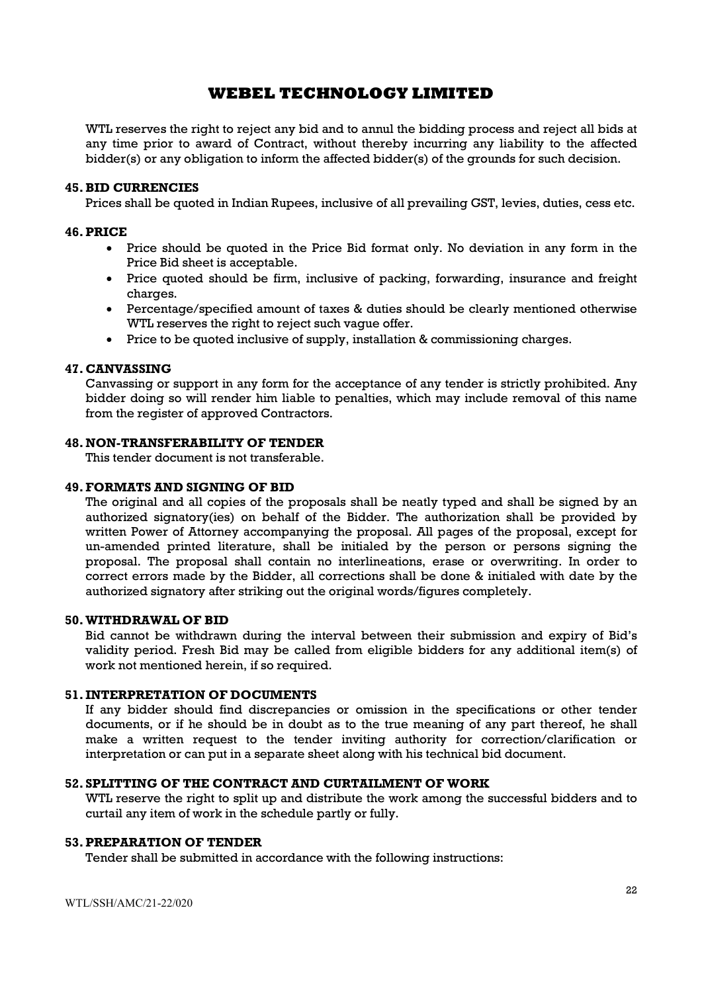WTL reserves the right to reject any bid and to annul the bidding process and reject all bids at any time prior to award of Contract, without thereby incurring any liability to the affected bidder(s) or any obligation to inform the affected bidder(s) of the grounds for such decision.

#### 45.BID CURRENCIES

Prices shall be quoted in Indian Rupees, inclusive of all prevailing GST, levies, duties, cess etc.

#### 46.PRICE

- Price should be quoted in the Price Bid format only. No deviation in any form in the Price Bid sheet is acceptable.
- Price quoted should be firm, inclusive of packing, forwarding, insurance and freight charges.
- Percentage/specified amount of taxes & duties should be clearly mentioned otherwise WTL reserves the right to reject such vague offer.
- Price to be quoted inclusive of supply, installation & commissioning charges.

#### 47. CANVASSING

Canvassing or support in any form for the acceptance of any tender is strictly prohibited. Any bidder doing so will render him liable to penalties, which may include removal of this name from the register of approved Contractors.

#### 48.NON-TRANSFERABILITY OF TENDER

This tender document is not transferable.

#### 49.FORMATS AND SIGNING OF BID

The original and all copies of the proposals shall be neatly typed and shall be signed by an authorized signatory(ies) on behalf of the Bidder. The authorization shall be provided by written Power of Attorney accompanying the proposal. All pages of the proposal, except for un-amended printed literature, shall be initialed by the person or persons signing the proposal. The proposal shall contain no interlineations, erase or overwriting. In order to correct errors made by the Bidder, all corrections shall be done & initialed with date by the authorized signatory after striking out the original words/figures completely.

#### 50.WITHDRAWAL OF BID

Bid cannot be withdrawn during the interval between their submission and expiry of Bid's validity period. Fresh Bid may be called from eligible bidders for any additional item(s) of work not mentioned herein, if so required.

#### 51. INTERPRETATION OF DOCUMENTS

If any bidder should find discrepancies or omission in the specifications or other tender documents, or if he should be in doubt as to the true meaning of any part thereof, he shall make a written request to the tender inviting authority for correction/clarification or interpretation or can put in a separate sheet along with his technical bid document.

#### 52. SPLITTING OF THE CONTRACT AND CURTAILMENT OF WORK

WTL reserve the right to split up and distribute the work among the successful bidders and to curtail any item of work in the schedule partly or fully.

#### 53.PREPARATION OF TENDER

Tender shall be submitted in accordance with the following instructions: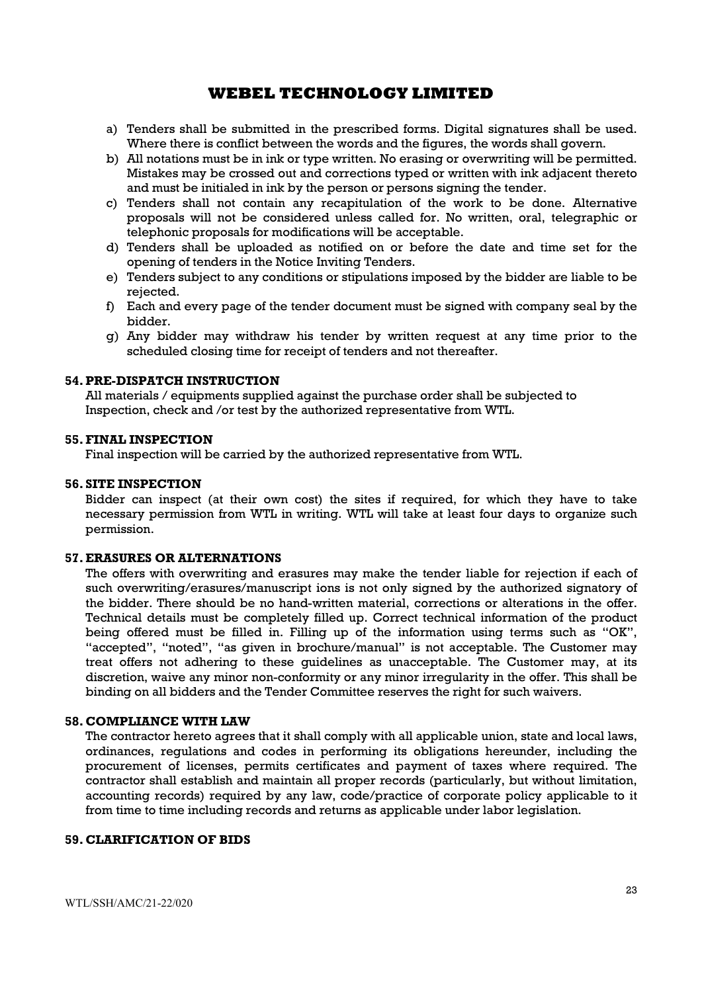- a) Tenders shall be submitted in the prescribed forms. Digital signatures shall be used. Where there is conflict between the words and the figures, the words shall govern.
- b) All notations must be in ink or type written. No erasing or overwriting will be permitted. Mistakes may be crossed out and corrections typed or written with ink adjacent thereto and must be initialed in ink by the person or persons signing the tender.
- c) Tenders shall not contain any recapitulation of the work to be done. Alternative proposals will not be considered unless called for. No written, oral, telegraphic or telephonic proposals for modifications will be acceptable.
- d) Tenders shall be uploaded as notified on or before the date and time set for the opening of tenders in the Notice Inviting Tenders.
- e) Tenders subject to any conditions or stipulations imposed by the bidder are liable to be rejected.
- f) Each and every page of the tender document must be signed with company seal by the bidder.
- g) Any bidder may withdraw his tender by written request at any time prior to the scheduled closing time for receipt of tenders and not thereafter.

#### 54.PRE-DISPATCH INSTRUCTION

All materials / equipments supplied against the purchase order shall be subjected to Inspection, check and /or test by the authorized representative from WTL.

#### 55.FINAL INSPECTION

Final inspection will be carried by the authorized representative from WTL.

#### 56. SITE INSPECTION

Bidder can inspect (at their own cost) the sites if required, for which they have to take necessary permission from WTL in writing. WTL will take at least four days to organize such permission.

#### 57.ERASURES OR ALTERNATIONS

The offers with overwriting and erasures may make the tender liable for rejection if each of such overwriting/erasures/manuscript ions is not only signed by the authorized signatory of the bidder. There should be no hand-written material, corrections or alterations in the offer. Technical details must be completely filled up. Correct technical information of the product being offered must be filled in. Filling up of the information using terms such as "OK", "accepted", "noted", "as given in brochure/manual" is not acceptable. The Customer may treat offers not adhering to these guidelines as unacceptable. The Customer may, at its discretion, waive any minor non-conformity or any minor irregularity in the offer. This shall be binding on all bidders and the Tender Committee reserves the right for such waivers.

#### 58. COMPLIANCE WITH LAW

The contractor hereto agrees that it shall comply with all applicable union, state and local laws, ordinances, regulations and codes in performing its obligations hereunder, including the procurement of licenses, permits certificates and payment of taxes where required. The contractor shall establish and maintain all proper records (particularly, but without limitation, accounting records) required by any law, code/practice of corporate policy applicable to it from time to time including records and returns as applicable under labor legislation.

#### 59. CLARIFICATION OF BIDS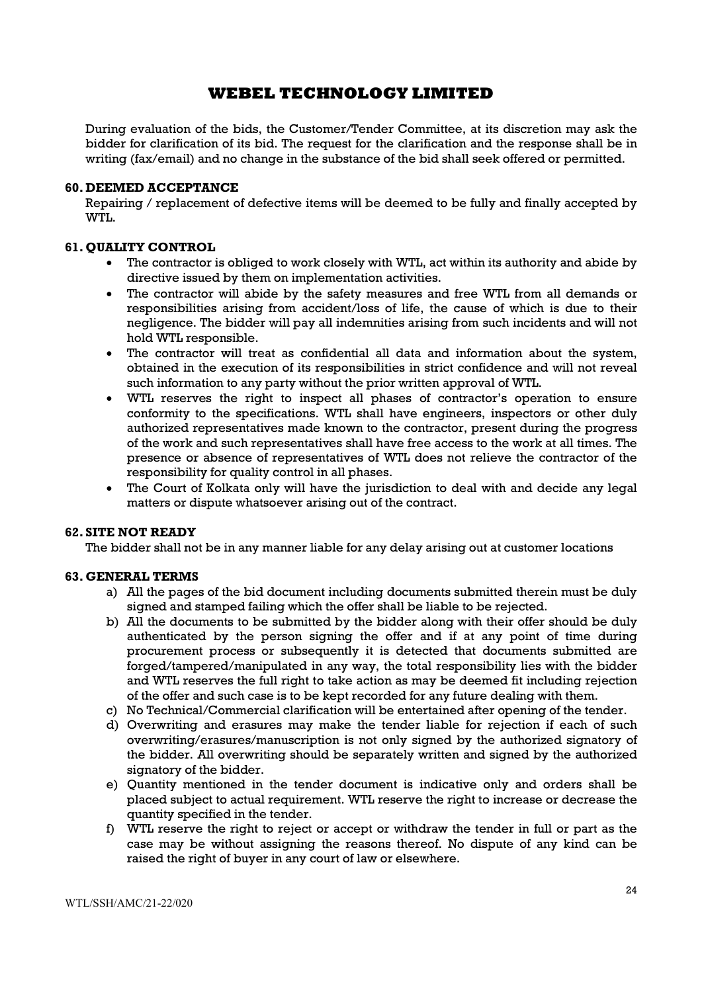During evaluation of the bids, the Customer/Tender Committee, at its discretion may ask the bidder for clarification of its bid. The request for the clarification and the response shall be in writing (fax/email) and no change in the substance of the bid shall seek offered or permitted.

#### 60. DEEMED ACCEPTANCE

Repairing / replacement of defective items will be deemed to be fully and finally accepted by WTL.

#### 61. QUALITY CONTROL

- The contractor is obliged to work closely with WTL, act within its authority and abide by directive issued by them on implementation activities.
- The contractor will abide by the safety measures and free WTL from all demands or responsibilities arising from accident/loss of life, the cause of which is due to their negligence. The bidder will pay all indemnities arising from such incidents and will not hold WTL responsible.
- The contractor will treat as confidential all data and information about the system, obtained in the execution of its responsibilities in strict confidence and will not reveal such information to any party without the prior written approval of WTL.
- WTL reserves the right to inspect all phases of contractor's operation to ensure conformity to the specifications. WTL shall have engineers, inspectors or other duly authorized representatives made known to the contractor, present during the progress of the work and such representatives shall have free access to the work at all times. The presence or absence of representatives of WTL does not relieve the contractor of the responsibility for quality control in all phases.
- The Court of Kolkata only will have the jurisdiction to deal with and decide any legal matters or dispute whatsoever arising out of the contract.

#### 62. SITE NOT READY

The bidder shall not be in any manner liable for any delay arising out at customer locations

#### 63. GENERAL TERMS

- a) All the pages of the bid document including documents submitted therein must be duly signed and stamped failing which the offer shall be liable to be rejected.
- b) All the documents to be submitted by the bidder along with their offer should be duly authenticated by the person signing the offer and if at any point of time during procurement process or subsequently it is detected that documents submitted are forged/tampered/manipulated in any way, the total responsibility lies with the bidder and WTL reserves the full right to take action as may be deemed fit including rejection of the offer and such case is to be kept recorded for any future dealing with them.
- c) No Technical/Commercial clarification will be entertained after opening of the tender.
- d) Overwriting and erasures may make the tender liable for rejection if each of such overwriting/erasures/manuscription is not only signed by the authorized signatory of the bidder. All overwriting should be separately written and signed by the authorized signatory of the bidder.
- e) Quantity mentioned in the tender document is indicative only and orders shall be placed subject to actual requirement. WTL reserve the right to increase or decrease the quantity specified in the tender.
- f) WTL reserve the right to reject or accept or withdraw the tender in full or part as the case may be without assigning the reasons thereof. No dispute of any kind can be raised the right of buyer in any court of law or elsewhere.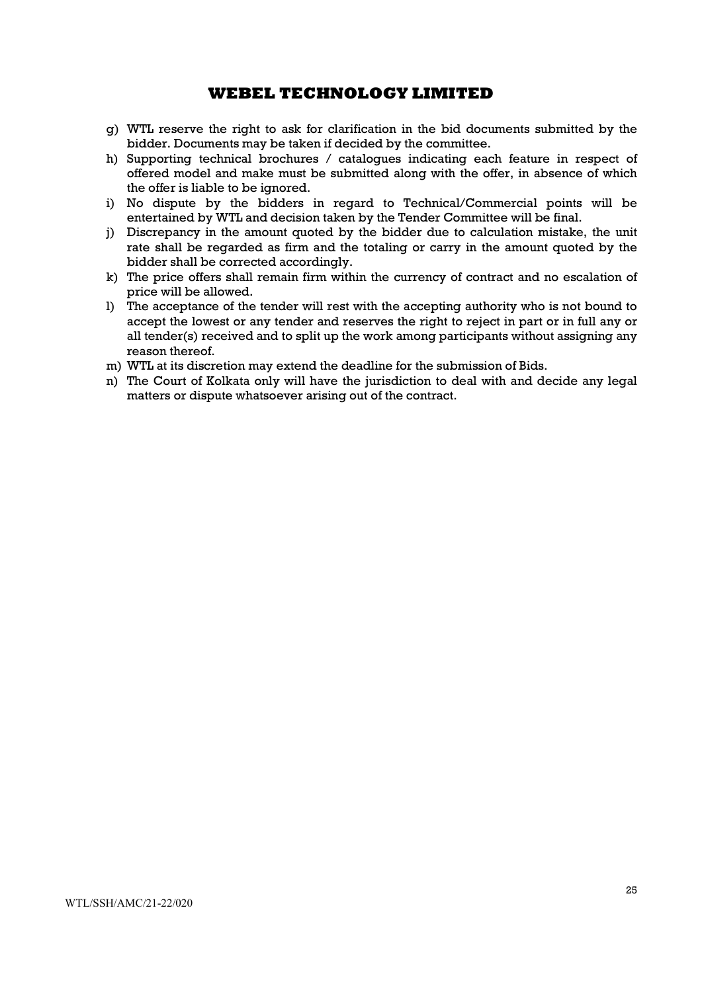- g) WTL reserve the right to ask for clarification in the bid documents submitted by the bidder. Documents may be taken if decided by the committee.
- h) Supporting technical brochures / catalogues indicating each feature in respect of offered model and make must be submitted along with the offer, in absence of which the offer is liable to be ignored.
- i) No dispute by the bidders in regard to Technical/Commercial points will be entertained by WTL and decision taken by the Tender Committee will be final.
- j) Discrepancy in the amount quoted by the bidder due to calculation mistake, the unit rate shall be regarded as firm and the totaling or carry in the amount quoted by the bidder shall be corrected accordingly.
- k) The price offers shall remain firm within the currency of contract and no escalation of price will be allowed.
- l) The acceptance of the tender will rest with the accepting authority who is not bound to accept the lowest or any tender and reserves the right to reject in part or in full any or all tender(s) received and to split up the work among participants without assigning any reason thereof.
- m) WTL at its discretion may extend the deadline for the submission of Bids.
- n) The Court of Kolkata only will have the jurisdiction to deal with and decide any legal matters or dispute whatsoever arising out of the contract.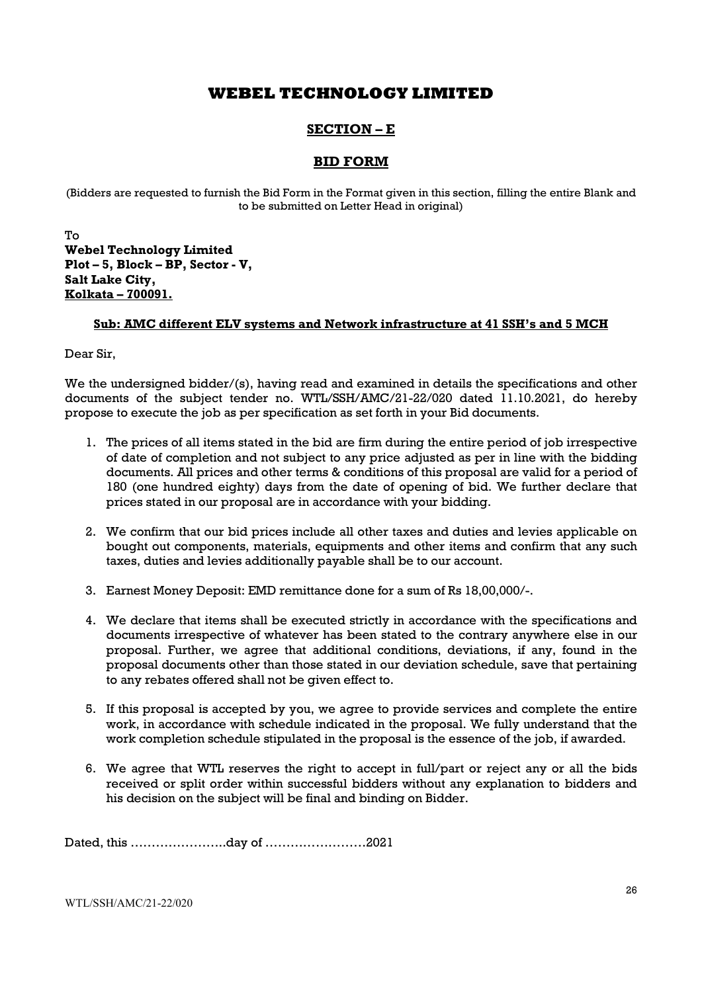## SECTION – E

## BID FORM

(Bidders are requested to furnish the Bid Form in the Format given in this section, filling the entire Blank and to be submitted on Letter Head in original)

To Webel Technology Limited Plot – 5, Block – BP, Sector - V, Salt Lake City, Kolkata – 700091.

#### Sub: AMC different ELV systems and Network infrastructure at 41 SSH's and 5 MCH

Dear Sir,

We the undersigned bidder/(s), having read and examined in details the specifications and other documents of the subject tender no. WTL/SSH/AMC/21-22/020 dated 11.10.2021, do hereby propose to execute the job as per specification as set forth in your Bid documents.

- 1. The prices of all items stated in the bid are firm during the entire period of job irrespective of date of completion and not subject to any price adjusted as per in line with the bidding documents. All prices and other terms & conditions of this proposal are valid for a period of 180 (one hundred eighty) days from the date of opening of bid. We further declare that prices stated in our proposal are in accordance with your bidding.
- 2. We confirm that our bid prices include all other taxes and duties and levies applicable on bought out components, materials, equipments and other items and confirm that any such taxes, duties and levies additionally payable shall be to our account.
- 3. Earnest Money Deposit: EMD remittance done for a sum of Rs 18,00,000/-.
- 4. We declare that items shall be executed strictly in accordance with the specifications and documents irrespective of whatever has been stated to the contrary anywhere else in our proposal. Further, we agree that additional conditions, deviations, if any, found in the proposal documents other than those stated in our deviation schedule, save that pertaining to any rebates offered shall not be given effect to.
- 5. If this proposal is accepted by you, we agree to provide services and complete the entire work, in accordance with schedule indicated in the proposal. We fully understand that the work completion schedule stipulated in the proposal is the essence of the job, if awarded.
- 6. We agree that WTL reserves the right to accept in full/part or reject any or all the bids received or split order within successful bidders without any explanation to bidders and his decision on the subject will be final and binding on Bidder.

Dated, this …………………..day of ……………………2021

WTL/SSH/AMC/21-22/020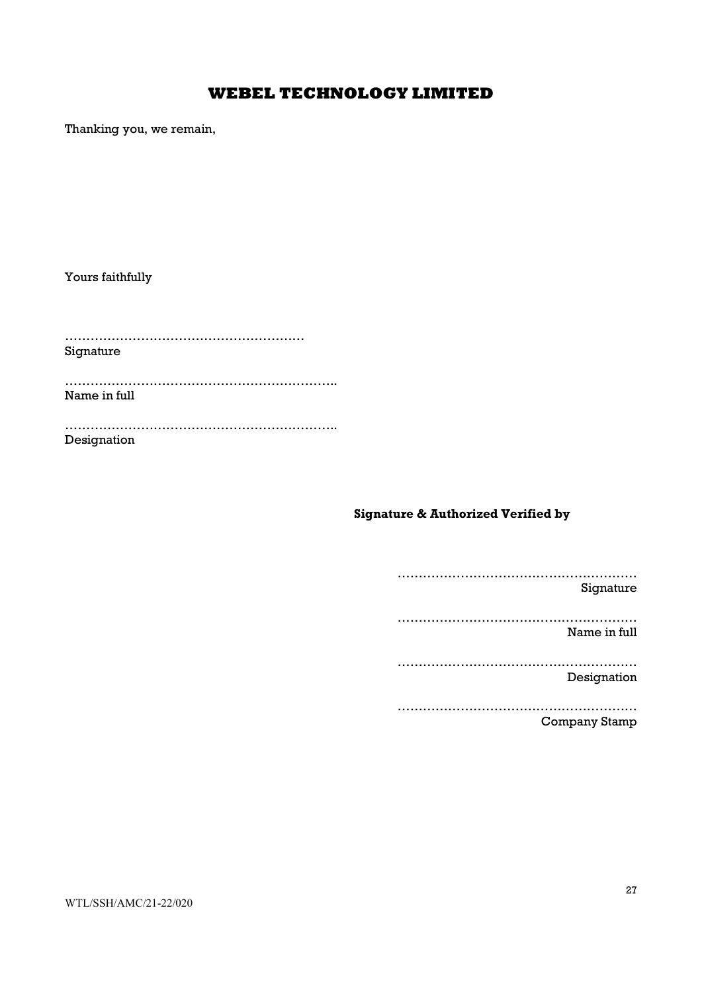Thanking you, we remain,

Yours faithfully

………………………………………………… Signature

……………………………………………………….. Name in full

……………………………………………………….. Designation

## Signature & Authorized Verified by

…………………………………………………

Signature

………………………………………………… Name in full

………………………………………………… Designation

………………………………………………… Company Stamp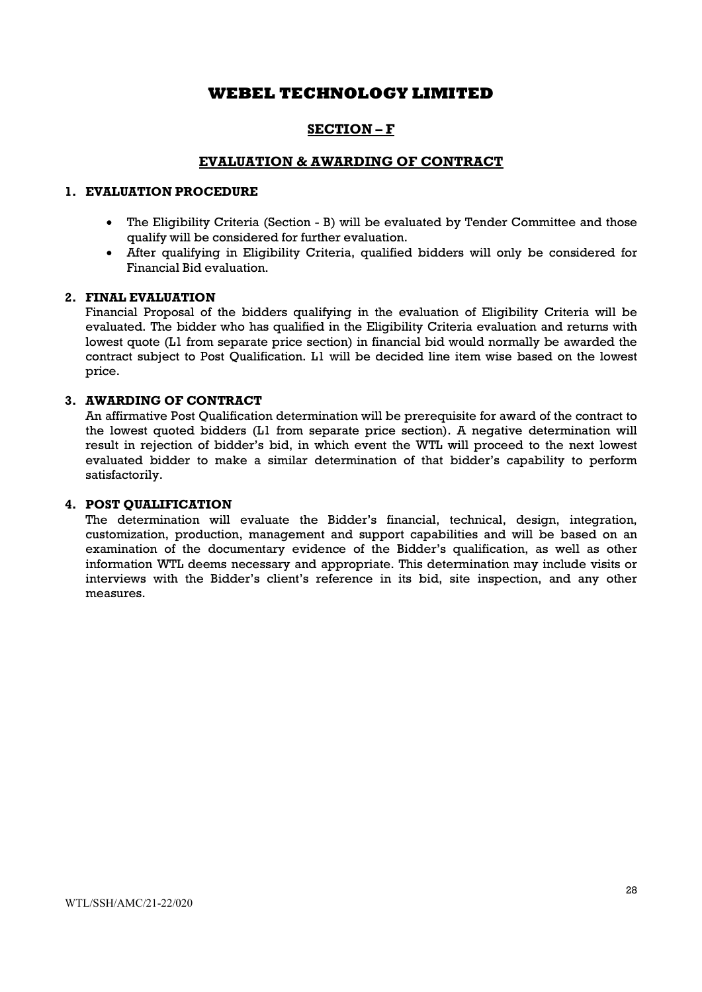## SECTION – F

## EVALUATION & AWARDING OF CONTRACT

## 1. EVALUATION PROCEDURE

- The Eligibility Criteria (Section B) will be evaluated by Tender Committee and those qualify will be considered for further evaluation.
- After qualifying in Eligibility Criteria, qualified bidders will only be considered for Financial Bid evaluation.

#### 2. FINAL EVALUATION

Financial Proposal of the bidders qualifying in the evaluation of Eligibility Criteria will be evaluated. The bidder who has qualified in the Eligibility Criteria evaluation and returns with lowest quote (L1 from separate price section) in financial bid would normally be awarded the contract subject to Post Qualification. L1 will be decided line item wise based on the lowest price.

#### 3. AWARDING OF CONTRACT

An affirmative Post Qualification determination will be prerequisite for award of the contract to the lowest quoted bidders (L1 from separate price section). A negative determination will result in rejection of bidder's bid, in which event the WTL will proceed to the next lowest evaluated bidder to make a similar determination of that bidder's capability to perform satisfactorily.

#### 4. POST QUALIFICATION

The determination will evaluate the Bidder's financial, technical, design, integration, customization, production, management and support capabilities and will be based on an examination of the documentary evidence of the Bidder's qualification, as well as other information WTL deems necessary and appropriate. This determination may include visits or interviews with the Bidder's client's reference in its bid, site inspection, and any other measures.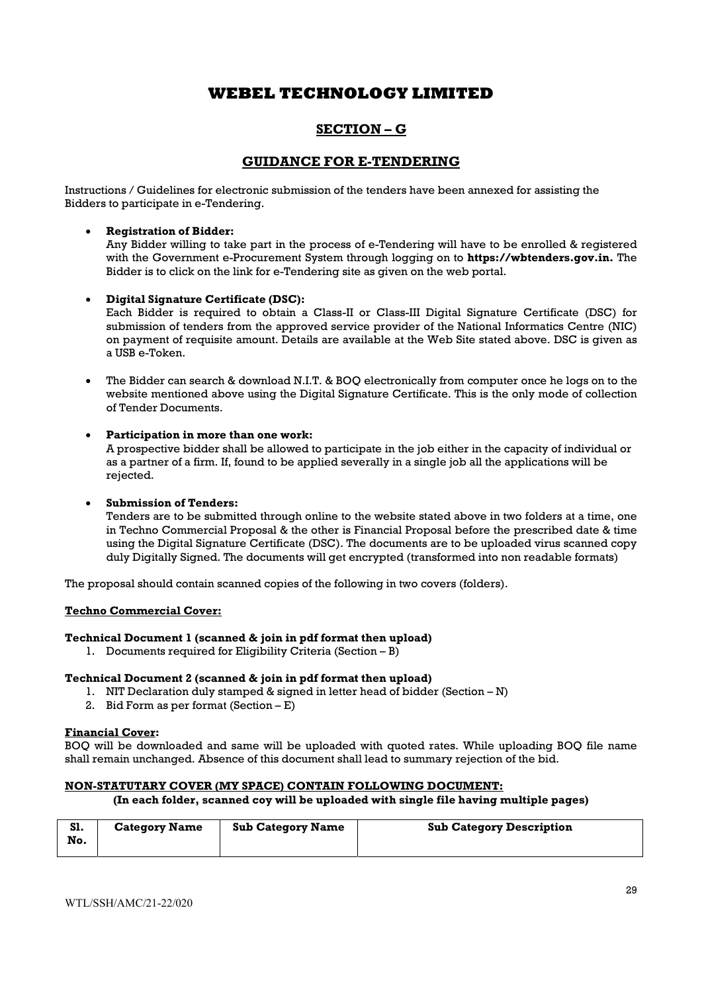## SECTION – G

## GUIDANCE FOR E-TENDERING

Instructions / Guidelines for electronic submission of the tenders have been annexed for assisting the Bidders to participate in e-Tendering.

#### Registration of Bidder:

Any Bidder willing to take part in the process of e-Tendering will have to be enrolled & registered with the Government e-Procurement System through logging on to **https://wbtenders.gov.in.** The Bidder is to click on the link for e-Tendering site as given on the web portal.

#### Digital Signature Certificate (DSC):

Each Bidder is required to obtain a Class-II or Class-III Digital Signature Certificate (DSC) for submission of tenders from the approved service provider of the National Informatics Centre (NIC) on payment of requisite amount. Details are available at the Web Site stated above. DSC is given as a USB e-Token.

 The Bidder can search & download N.I.T. & BOQ electronically from computer once he logs on to the website mentioned above using the Digital Signature Certificate. This is the only mode of collection of Tender Documents.

#### Participation in more than one work:

A prospective bidder shall be allowed to participate in the job either in the capacity of individual or as a partner of a firm. If, found to be applied severally in a single job all the applications will be rejected.

#### Submission of Tenders:

Tenders are to be submitted through online to the website stated above in two folders at a time, one in Techno Commercial Proposal & the other is Financial Proposal before the prescribed date & time using the Digital Signature Certificate (DSC). The documents are to be uploaded virus scanned copy duly Digitally Signed. The documents will get encrypted (transformed into non readable formats)

The proposal should contain scanned copies of the following in two covers (folders).

#### Techno Commercial Cover:

#### Technical Document 1 (scanned & join in pdf format then upload)

1. Documents required for Eligibility Criteria (Section – B)

#### Technical Document 2 (scanned & join in pdf format then upload)

- 1. NIT Declaration duly stamped & signed in letter head of bidder (Section N)
- 2. Bid Form as per format (Section E)

#### Financial Cover:

BOQ will be downloaded and same will be uploaded with quoted rates. While uploading BOQ file name shall remain unchanged. Absence of this document shall lead to summary rejection of the bid.

#### NON-STATUTARY COVER (MY SPACE) CONTAIN FOLLOWING DOCUMENT:

#### (In each folder, scanned coy will be uploaded with single file having multiple pages)

| S1.<br>No. | <b>Category Name</b> | <b>Sub Category Name</b> | <b>Sub Category Description</b> |
|------------|----------------------|--------------------------|---------------------------------|
|------------|----------------------|--------------------------|---------------------------------|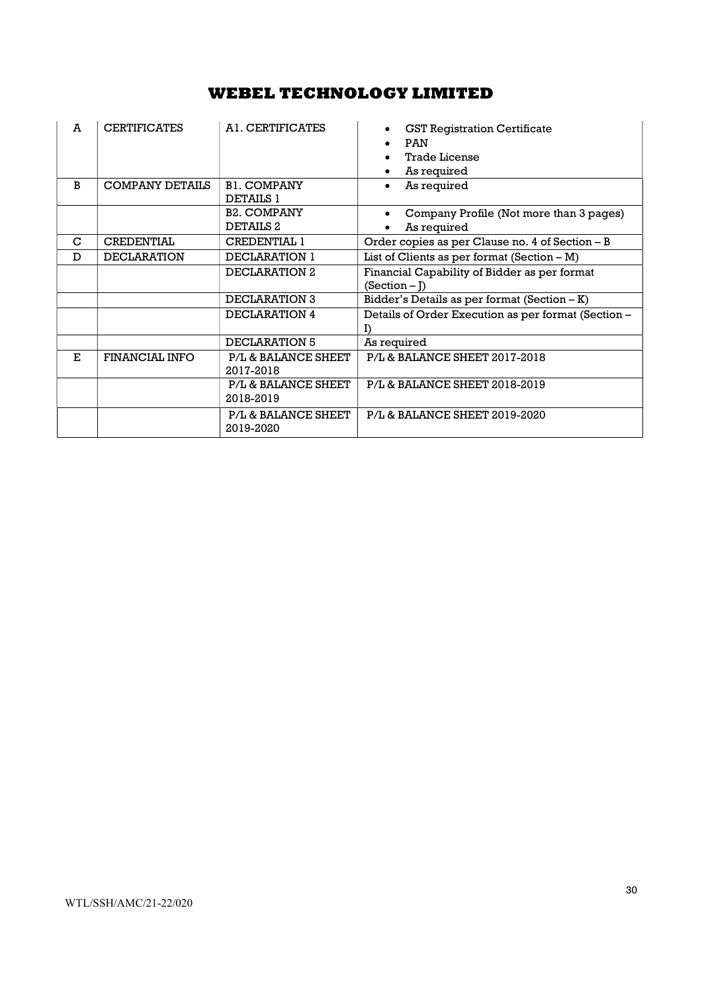| A  | <b>CERTIFICATES</b>    | A <sub>1</sub> . CERTIFICATES          | <b>GST Registration Certificate</b><br><b>PAN</b><br><b>Trade License</b><br>As required |  |
|----|------------------------|----------------------------------------|------------------------------------------------------------------------------------------|--|
| B  | <b>COMPANY DETAILS</b> | <b>B1. COMPANY</b><br><b>DETAILS 1</b> | As required                                                                              |  |
|    |                        | <b>B2. COMPANY</b>                     | Company Profile (Not more than 3 pages)                                                  |  |
|    |                        | DETAILS <sub>2</sub>                   | As required                                                                              |  |
| C  | <b>CREDENTIAL</b>      | <b>CREDENTIAL 1</b>                    | Order copies as per Clause no. 4 of Section - B                                          |  |
| D  | <b>DECLARATION</b>     | DECLARATION 1                          | List of Clients as per format $(Section - M)$                                            |  |
|    |                        | DECLARATION 2                          | Financial Capability of Bidder as per format<br>$(Section - I)$                          |  |
|    |                        | DECLARATION 3                          | Bidder's Details as per format (Section $-K$ )                                           |  |
|    |                        | DECLARATION 4                          | Details of Order Execution as per format (Section -                                      |  |
|    |                        | DECLARATION 5                          | As required                                                                              |  |
| E. | FINANCIAL INFO         | P/L & BALANCE SHEET<br>2017-2018       | P/L & BALANCE SHEET 2017-2018                                                            |  |
|    |                        | P/L & BALANCE SHEET<br>2018-2019       | P/L & BALANCE SHEET 2018-2019                                                            |  |
|    |                        | P/L & BALANCE SHEET<br>2019-2020       | P/L & BALANCE SHEET 2019-2020                                                            |  |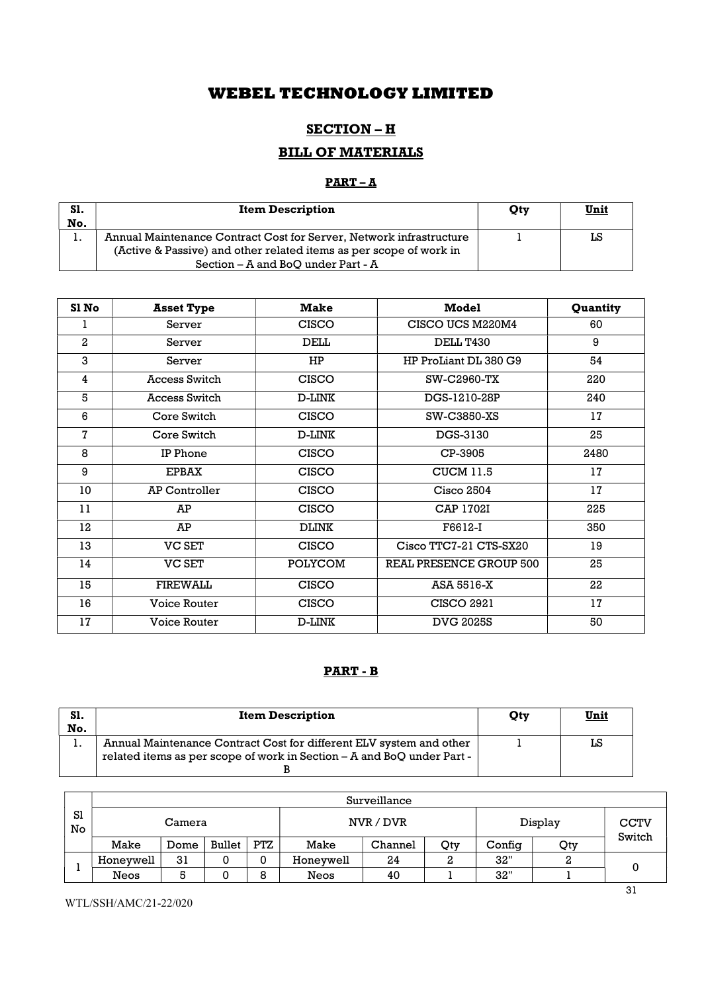## SECTION – H

# BILL OF MATERIALS

## $PART - A$

| S1. | <b>Item Description</b>                                             | Otv | <u>Unit</u> |
|-----|---------------------------------------------------------------------|-----|-------------|
| No. |                                                                     |     |             |
| . . | Annual Maintenance Contract Cost for Server, Network infrastructure |     | LS          |
|     | (Active & Passive) and other related items as per scope of work in  |     |             |
|     | Section – A and BoO under Part - A                                  |     |             |

| Sl No          | <b>Asset Type</b>    | <b>Make</b>    | <b>Model</b>            | Quantity |
|----------------|----------------------|----------------|-------------------------|----------|
| ı              | Server               | <b>CISCO</b>   | CISCO UCS M220M4        | 60       |
| $\overline{2}$ | Server               | <b>DELL</b>    | DELL T430               | 9        |
| 3              | Server               | HP             | HP ProLiant DL 380 G9   | 54       |
| 4              | <b>Access Switch</b> | <b>CISCO</b>   | SW-C2960-TX             | 220      |
| 5              | Access Switch        | D-LINK         | DGS-1210-28P            | 240      |
| 6              | Core Switch          | <b>CISCO</b>   | SW-C3850-XS             | 17       |
| $\mathbf 7$    | Core Switch          | D-LINK         | DGS-3130                | 25       |
| 8              | IP Phone             | <b>CISCO</b>   | CP-3905                 | 2480     |
| 9              | <b>EPBAX</b>         | <b>CISCO</b>   | <b>CUCM 11.5</b>        | 17       |
| 10             | <b>AP Controller</b> | <b>CISCO</b>   | <b>Cisco 2504</b>       | 17       |
| 11             | <b>AP</b>            | <b>CISCO</b>   | <b>CAP 1702I</b>        | 225      |
| 12             | АP                   | <b>DLINK</b>   | F6612-I                 | 350      |
| 13             | <b>VC SET</b>        | <b>CISCO</b>   | Cisco TTC7-21 CTS-SX20  | 19       |
| 14             | <b>VC SET</b>        | <b>POLYCOM</b> | REAL PRESENCE GROUP 500 | 25       |
| 15             | <b>FIREWALL</b>      | <b>CISCO</b>   | ASA 5516-X              | 22       |
| 16             | Voice Router         | <b>CISCO</b>   | <b>CISCO 2921</b>       | 17       |
| 17             | <b>Voice Router</b>  | D-LINK         | <b>DVG 2025S</b>        | 50       |

## PART - B

| S1. | <b>Item Description</b>                                                | Otv | <u>Unit</u> |
|-----|------------------------------------------------------------------------|-----|-------------|
| No. |                                                                        |     |             |
| . . | Annual Maintenance Contract Cost for different ELV system and other    |     | LS          |
|     | related items as per scope of work in Section – A and BoQ under Part - |     |             |
|     |                                                                        |     |             |

|          | Surveillance |        |        |            |           |         |     |         |                       |  |  |  |
|----------|--------------|--------|--------|------------|-----------|---------|-----|---------|-----------------------|--|--|--|
| S1<br>No |              | Camera |        |            | NVR / DVR |         |     | Display | <b>CCTV</b><br>Switch |  |  |  |
|          | Make         | Dome   | Bullet | <b>PTZ</b> | Make      | Channel | Qty | Config  | Qty                   |  |  |  |
|          | Honeywell    | 31     | ິ      |            | Honeywell | 24      |     | 32"     |                       |  |  |  |
|          | Neos         |        |        | 8          | Neos      | 40      |     | 32"     |                       |  |  |  |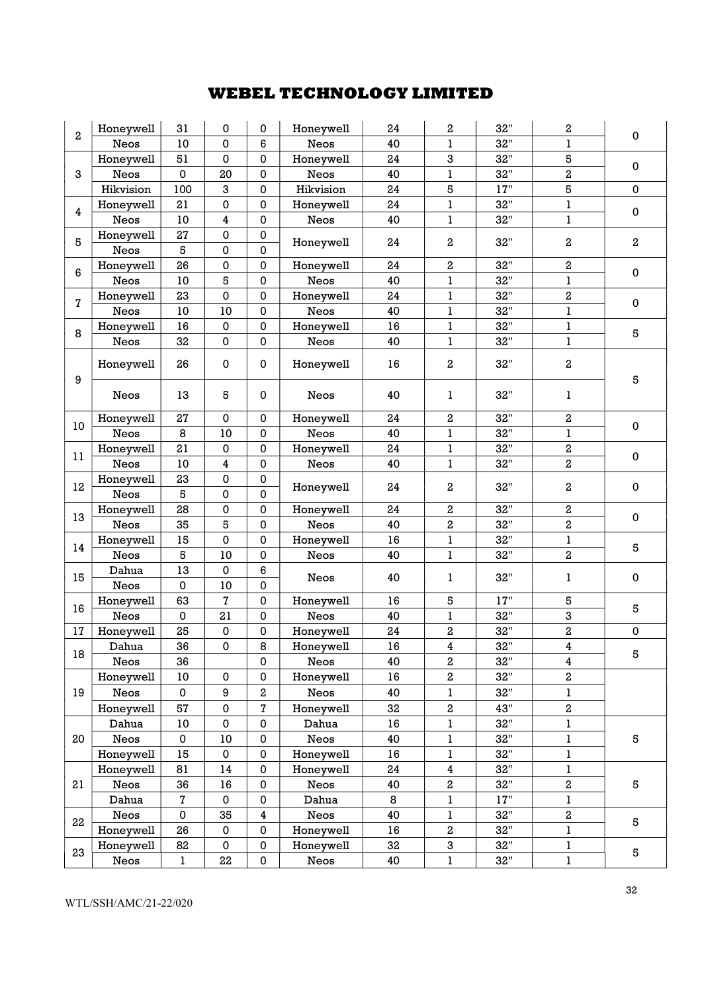|                  | Honeywell   | 31          | 0  | 0           | Honeywell   | 24     | 2                       | 32"            | 2                       |             |
|------------------|-------------|-------------|----|-------------|-------------|--------|-------------------------|----------------|-------------------------|-------------|
| 2                | <b>Neos</b> | 10          | 0  | 6           | Neos        | 40     | ı                       | 32"            | 1                       | 0           |
|                  | Honeywell   | 51          | 0  | 0           | Honeywell   | 24     | 3                       | 32"            | 5                       |             |
| 3                | Neos        | $\mathbf 0$ | 20 | $\mathbf 0$ | Neos        | 40     | ı                       | 32"            | $\overline{\mathbf{c}}$ | $\mathbf 0$ |
|                  | Hikvision   | 100         | 3  | 0           | Hikvision   | 24     | 5                       | 17"            | 5                       | 0           |
|                  | Honeywell   | 21          | 0  | $\pmb{0}$   | Honeywell   | 24     | ı                       | 32"            | $\bf{l}$                |             |
| $\overline{4}$   | Neos        | 10          | 4  | $\pmb{0}$   | Neos        | 40     | 1                       | 32"            | $\bf{l}$                | $\mathbf 0$ |
|                  | Honeywell   | 27          | 0  | $\pmb{0}$   |             |        |                         |                |                         |             |
| $\bf 5$          | Neos        | 5           | 0  | $\mathbf 0$ | Honeywell   | 24     | $\,2$                   | 32"            | 2                       | 2           |
|                  | Honeywell   | 26          | 0  | 0           | Honeywell   | 24     | 2                       | 32"            | 2                       |             |
| 6                | Neos        | $10$        | 5  | $\mathbf 0$ | Neos        | 40     | $\mathbf{l}$            | 32"            | $\bf{l}$                | $\pmb{0}$   |
|                  | Honeywell   | 23          | 0  | $\pmb{0}$   | Honeywell   | 24     | ı                       | 32"            | $\,2$                   |             |
| 7                | Neos        | $10$        | 10 | $\pmb{0}$   | Neos        | 40     | ı                       | 32"            | $\bf{l}$                | $\pmb{0}$   |
|                  | Honeywell   | 16          | 0  | $\mathbf 0$ | Honeywell   | 16     | 1                       | 32"            | $\bf{l}$                |             |
| 8                | Neos        | 32          | 0  | $\pmb{0}$   | Neos        | 40     | ı                       | 32"            | 1                       | 5           |
|                  |             |             |    |             |             |        |                         |                |                         |             |
|                  | Honeywell   | 26          | 0  | 0           | Honeywell   | 16     | $\boldsymbol{2}$        | 32"            | 2                       |             |
| $\boldsymbol{9}$ |             |             |    |             |             |        |                         |                |                         | 5           |
|                  | Neos        | 13          | 5  | 0           | Neos        | 40     | 1                       | 32"            | 1                       |             |
|                  | Honeywell   | 27          | 0  | $\pmb{0}$   | Honeywell   | 24     | $\,2\,$                 | 32"            | $\overline{\mathbf{2}}$ |             |
| 10               | Neos        | 8           | 10 | $\mathbf 0$ | <b>Neos</b> | 40     | ı                       | 32"            | $\bf{l}$                | $\pmb{0}$   |
|                  | Honeywell   | 21          | 0  | 0           | Honeywell   | 24     | ı                       | 32"            | $\overline{\mathbf{c}}$ |             |
| 11               | Neos        | 10          | 4  | $\mathbf 0$ | Neos        | 40     | 1                       | 32"            | $\boldsymbol{2}$        | 0           |
|                  | Honeywell   | 23          | 0  | $\mathbf 0$ |             |        |                         |                |                         |             |
| $12\,$           | Neos        | 5           | 0  | $\mathbf 0$ | Honeywell   | 24     | $\,2$                   | 32"            | 2                       | $\pmb{0}$   |
|                  | Honeywell   | 28          | 0  | $\mathbf 0$ | Honeywell   | 24     | $\,2\,$                 | 32"            | 2                       |             |
| 13               | Neos        | 35          | 5  | 0           | <b>Neos</b> | 40     | 2                       | 32"            | 2                       | $\mathbf 0$ |
|                  | Honeywell   | 15          | 0  | $\pmb{0}$   | Honeywell   | 16     | l                       | 32"            | 1                       |             |
| 14               | Neos        | 5           | 10 | $\mathbf 0$ | Neos        | 40     | $\mathbf{l}$            | 32"            | $\overline{\mathbf{c}}$ | 5           |
|                  | Dahua       | 13          | 0  | $\,6\,$     |             |        |                         |                |                         |             |
| 15               | Neos        | $\mathbf 0$ | 10 | $\mathbf 0$ | Neos        | 40     | 1                       | 32"            | 1                       | $\pmb{0}$   |
|                  | Honeywell   | 63          | 7  | 0           | Honeywell   | 16     | 5                       | 17"            | 5                       |             |
| 16               | Neos        | $\mathbf 0$ | 21 | $\pmb{0}$   | Neos        | 40     | 1                       | 32"            | 3                       | 5           |
| 17               | Honeywell   | 25          | 0  | 0           | Honeywell   | 24     | 2                       | 32"            | 2                       | $\pmb{0}$   |
|                  | Dahua       | 36          | 0  | 8           | Honeywell   | $16\,$ | 4                       | 32"            | 4                       | $\bf 5$     |
| 18               | Neos        | 36          |    | 0           | Neos        | 40     | 2                       | 32"            | 4                       |             |
|                  | Honeywell   | 10          | 0  | 0           | Honeywell   | 16     | 2                       | 32"            | $\,2$                   |             |
| 19               | Neos        | $\mathbf 0$ | 9  | $\,2$       | Neos        | 40     | 1                       | 32"            | $\bf{l}$                |             |
|                  | Honeywell   | 57          | 0  | 7           | Honeywell   | 32     | 2                       | 43"            | $\boldsymbol{2}$        |             |
|                  | Dahua       | $10\,$      | 0  | 0           | Dahua       | 16     | ı                       | 32"            | 1                       |             |
| 20               | Neos        | $\pmb{0}$   | 10 | $\pmb{0}$   | Neos        | 40     | ı                       | 32"            | $\bf{l}$                | 5           |
|                  | Honeywell   | 15          | 0  | 0           | Honeywell   | 16     | ı                       | $32\mathrm{"}$ | $\bf{l}$                |             |
|                  | Honeywell   | 81          | 14 | 0           | Honeywell   | 24     | $\overline{\mathbf{4}}$ | 32"            | 1                       |             |
| 21               | Neos        | 36          | 16 | 0           | Neos        | 40     | $\boldsymbol{2}$        | 32"            | 2                       | 5           |
|                  | Dahua       | 7           | 0  | 0           | Dahua       | 8      | ı                       | 17"            | 1                       |             |
| 22               | Neos        | $\pmb{0}$   | 35 | 4           | Neos        | 40     | ı                       | 32"            | $\overline{\mathbf{2}}$ |             |
|                  | Honeywell   | 26          | 0  | $\pmb{0}$   | Honeywell   | 16     | $\,2$                   | 32"            | 1                       | 5           |
| 23               | Honeywell   | 82          | 0  | 0           | Honeywell   | 32     | 3                       | 32"            | 1                       |             |
|                  | Neos        | 1           | 22 | 0           | Neos        | 40     | ı                       | 32"            | 1                       | 5           |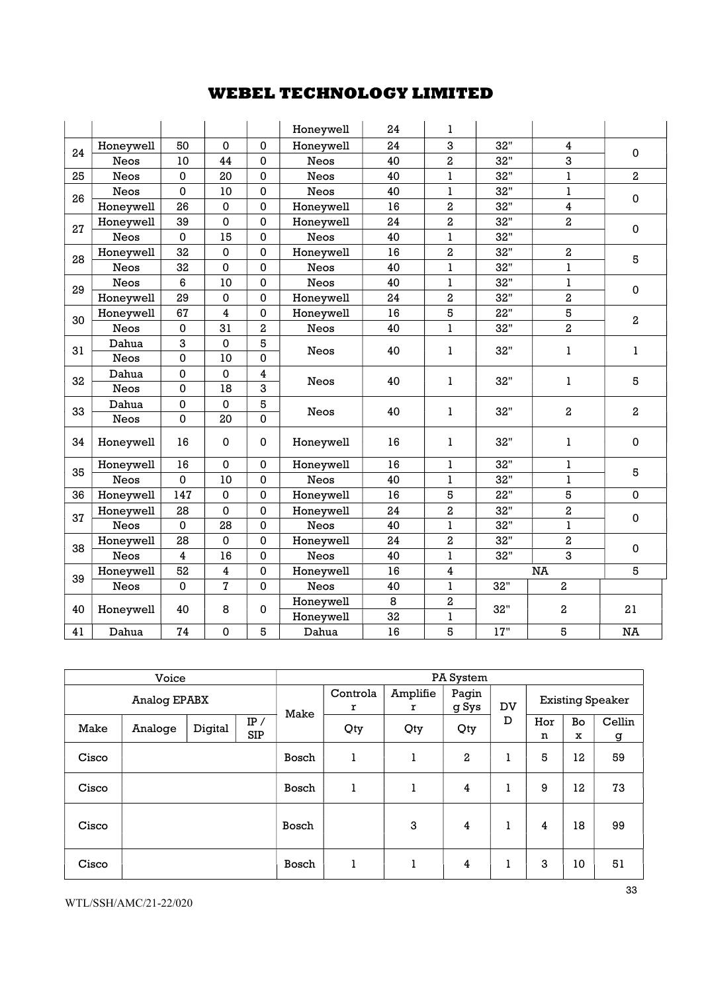|    |             |                         |                |             | Honeywell   | 24 | 1                       |       |                         |                         |
|----|-------------|-------------------------|----------------|-------------|-------------|----|-------------------------|-------|-------------------------|-------------------------|
| 24 | Honeywell   | 50                      | $\Omega$       | 0           | Honeywell   | 24 | 3                       | 32"   | 4                       | $\mathbf 0$             |
|    | <b>Neos</b> | 10                      | 44             | $\mathbf 0$ | <b>Neos</b> | 40 | $\overline{2}$          | 32"   | 3                       |                         |
| 25 | <b>Neos</b> | $\mathbf 0$             | 20             | 0           | Neos        | 40 | 1                       | 32"   | $\bf{l}$                | $\overline{\mathbf{c}}$ |
| 26 | <b>Neos</b> | $\mathbf 0$             | 10             | $\mathbf 0$ | <b>Neos</b> | 40 | ı                       | 32"   | $\mathbf{1}$            | 0                       |
|    | Honeywell   | 26                      | 0              | $\mathbf 0$ | Honeywell   | 16 | $\overline{2}$          | 32"   | 4                       |                         |
| 27 | Honeywell   | 39                      | 0              | $\mathbf 0$ | Honeywell   | 24 | $\overline{\mathbf{c}}$ | 32"   | $\overline{2}$          | $\mathbf 0$             |
|    | Neos        | $\mathbf 0$             | 15             | $\mathbf 0$ | <b>Neos</b> | 40 | $\mathbf{I}$            | 32"   |                         |                         |
| 28 | Honeywell   | 32                      | 0              | 0           | Honeywell   | 16 | $\boldsymbol{2}$        | 32"   | $\boldsymbol{2}$        |                         |
|    | Neos        | 32                      | 0              | $\mathbf 0$ | <b>Neos</b> | 40 | ı                       | 32"   | $\bf{l}$                | 5                       |
| 29 | <b>Neos</b> | 6                       | 10             | $\mathbf 0$ | Neos        | 40 | $\mathbf{l}$            | 32"   | $\bf{l}$                |                         |
|    | Honeywell   | 29                      | 0              | $\mathbf 0$ | Honeywell   | 24 | $\overline{2}$          | 32"   | $\overline{2}$          | 0                       |
| 30 | Honeywell   | 67                      | 4              | $\mathbf 0$ | Honeywell   | 16 | 5                       | 22"   | 5                       | $\overline{2}$          |
|    | <b>Neos</b> | $\mathbf 0$             | 31             | $\,2\,$     | <b>Neos</b> | 40 | $\bf{l}$                | 32"   | $\overline{\mathbf{c}}$ |                         |
| 31 | Dahua       | 3                       | 0              | $\,$ 5      |             |    |                         | 32"   |                         |                         |
|    | <b>Neos</b> | $\mathbf 0$             | 10             | 0           | Neos        | 40 | 1                       |       | 1                       | 1                       |
| 32 | Dahua       | $\mathbf 0$             | 0              | 4           |             |    |                         | 32"   |                         |                         |
|    | Neos        | $\mathbf 0$             | 18             | 3           | Neos        | 40 | 1                       |       | 1                       | 5                       |
|    | Dahua       | $\mathbf 0$             | $\mathbf 0$    | 5           |             |    |                         |       |                         |                         |
| 33 | Neos        | $\mathbf 0$             | 20             | $\mathbf 0$ | Neos        | 40 | 1                       | 32"   | 2                       | 2                       |
| 34 | Honeywell   | 16                      | 0              | 0           | Honeywell   | 16 | 1                       | 32"   | $\bf{l}$                | $\mathbf 0$             |
| 35 | Honeywell   | 16                      | 0              | 0           | Honeywell   | 16 | 1                       | 32"   | 1                       | 5                       |
|    | <b>Neos</b> | $\mathbf 0$             | 10             | $\mathbf 0$ | <b>Neos</b> | 40 | ı                       | 32"   | $\mathbf{1}$            |                         |
| 36 | Honeywell   | 147                     | 0              | $\mathbf 0$ | Honeywell   | 16 | 5                       | 22"   | 5                       | $\pmb{0}$               |
| 37 | Honeywell   | 28                      | 0              | 0           | Honeywell   | 24 | $\overline{\mathbf{c}}$ | 32"   | $\,2$                   | $\pmb{0}$               |
|    | Neos        | $\mathbf 0$             | 28             | $\pmb{0}$   | Neos        | 40 | ı                       | 32"   | $\bf{l}$                |                         |
| 38 | Honeywell   | 28                      | 0              | $\mathbf 0$ | Honeywell   | 24 | $\boldsymbol{2}$        | 32"   | $\boldsymbol{2}$        | 0                       |
|    | Neos        | $\overline{\mathbf{4}}$ | 16             | $\mathbf 0$ | <b>Neos</b> | 40 | ı                       | 32"   | 3                       |                         |
| 39 | Honeywell   | 52                      | 4              | $\mathbf 0$ | Honeywell   | 16 | 4                       |       | <b>NA</b>               | 5                       |
|    | Neos        | $\mathbf 0$             | $\overline{7}$ | 0           | <b>Neos</b> | 40 | $\bf{l}$                | 32"   | $\overline{2}$          |                         |
| 40 | Honeywell   | 40                      | 8              | 0           | Honeywell   | 8  | $\boldsymbol{2}$        | 32"   | 2                       | 21                      |
|    |             |                         |                |             | Honeywell   | 32 | ı                       |       |                         |                         |
| 41 | Dahua       | 74                      | 0              | 5           | Dahua       | 16 | 5                       | $17"$ | 5                       | NA                      |

| Voice        |         |         |                   |       | PA System     |               |                |    |          |         |                         |
|--------------|---------|---------|-------------------|-------|---------------|---------------|----------------|----|----------|---------|-------------------------|
| Analog EPABX |         |         |                   | Make  | Controla<br>r | Amplifie<br>r | Pagin<br>g Sys | DV |          |         | <b>Existing Speaker</b> |
| Make         | Analoge | Digital | IP/<br><b>SIP</b> |       | Qty           | Qty           | Qty            | D  | Hor<br>n | Bo<br>x | Cellin<br>g             |
| Cisco        |         |         |                   | Bosch | 1             | 1             | $\mathbf{2}$   | 1  | 5        | 12      | 59                      |
| Cisco        |         |         |                   | Bosch |               | 1             | 4              | 1  | 9        | 12      | 73                      |
| Cisco        |         |         |                   | Bosch |               | 3             | 4              | 1  | 4        | 18      | 99                      |
| Cisco        |         |         |                   | Bosch |               | 1             | 4              | 1  | 3        | 10      | 51                      |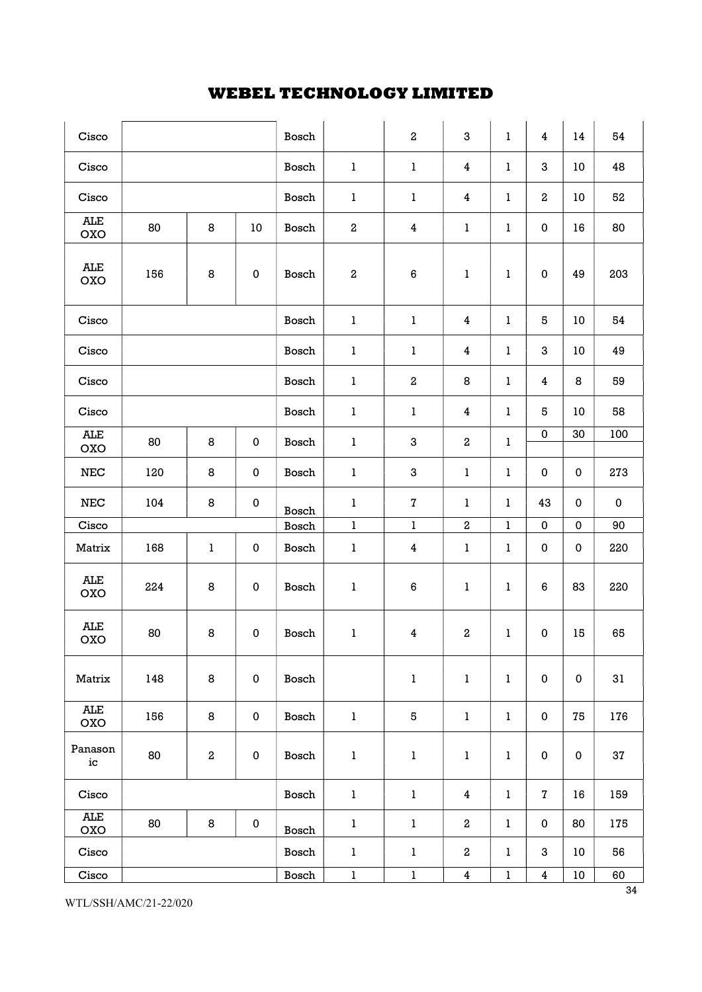| Cisco               |     |          |             | Bosch |                  | $\,2\,$                 | 3                       | $\bf{l}$     | $\overline{\mathbf{4}}$ | 14        | 54          |
|---------------------|-----|----------|-------------|-------|------------------|-------------------------|-------------------------|--------------|-------------------------|-----------|-------------|
| Cisco               |     |          |             | Bosch | $\bf{l}$         | $\mathbf{1}$            | 4                       | ı            | 3                       | 10        | 48          |
| Cisco               |     |          |             | Bosch | $\bf{l}$         | $\mathbf{1}$            | 4                       | 1            | $\,2$                   | 10        | 52          |
| <b>ALE</b><br>OXO   | 80  | 8        | 10          | Bosch | $\,2$            | 4                       | $\mathbf{1}$            | ı            | 0                       | 16        | 80          |
| ALE<br>OXO          | 156 | 8        | $\mathbf 0$ | Bosch | $\boldsymbol{2}$ | 6                       | $\bf{l}$                | ı            | 0                       | 49        | 203         |
| Cisco               |     |          |             | Bosch | $\bf{l}$         | $\mathbf{1}$            | 4                       | 1            | 5                       | 10        | 54          |
| Cisco               |     |          |             | Bosch | $\bf{l}$         | $\mathbf{1}$            | 4                       | ı            | 3                       | 10        | 49          |
| Cisco               |     |          |             | Bosch | $\bf{l}$         | $\mathbf 2$             | 8                       | 1            | 4                       | 8         | 59          |
| Cisco               |     |          |             | Bosch | $\mathbf{I}$     | $\mathbf{1}$            | 4                       | 1            | 5                       | 10        | 58          |
| <b>ALE</b><br>OXO   | 80  | 8        | $\mathbf 0$ | Bosch | $\bf{l}$         | 3                       | $\boldsymbol{2}$        | 1            | 0                       | 30        | 100         |
| ${\tt NEC}$         | 120 | 8        | $\pmb{0}$   | Bosch | $\bf{l}$         | $\boldsymbol{3}$        | $\mathbf{1}$            | ı            | 0                       | $\pmb{0}$ | 273         |
| $_{\rm NEC}$        | 104 | 8        | $\pmb{0}$   | Bosch | $\bf{l}$         | $\bf 7$                 | 1                       | 1            | 43                      | $\pmb{0}$ | $\mathbf 0$ |
| Cisco               |     |          |             | Bosch | $\bf{l}$         | $\bf{l}$                | $\,2$                   | $\bf{l}$     | $\pmb{0}$               | $\pmb{0}$ | 90          |
| Matrix              | 168 | $\bf{l}$ | $\pmb{0}$   | Bosch | $\bf{l}$         | $\overline{\mathbf{4}}$ | $\mathbf{1}$            | 1            | 0                       | $\pmb{0}$ | 220         |
| ALE<br>OXO          | 224 | 8        | $\pmb{0}$   | Bosch | $\bf{l}$         | 6                       | 1                       | ı            | 6                       | 83        | 220         |
| <b>ALE</b><br>OXO   | 80  | 8        | $\pmb{0}$   | Bosch | $\mathbf{1}$     | $\overline{\mathbf{4}}$ | $\,2$                   | ı            | 0                       | 15        | 65          |
| Matrix              | 148 | $\bf 8$  | $\pmb{0}$   | Bosch |                  | $\bf{l}$                | $\bf{l}$                | 1            | $\pmb{0}$               | $\pmb{0}$ | 31          |
| ALE<br><b>OXO</b>   | 156 | 8        | $\pmb{0}$   | Bosch | $\bf{l}$         | 5                       | $\bf{l}$                | $\mathbf{1}$ | 0                       | 75        | 176         |
| Panason<br>$\rm ic$ | 80  | $\,2$    | $\pmb{0}$   | Bosch | $\mathbf{1}$     | $\mathbf{1}$            | 1                       | $\bf{l}$     | $\pmb{0}$               | $\pmb{0}$ | 37          |
| Cisco               |     |          |             | Bosch | $\mathbf{1}$     | $\bf{l}$                | 4                       | $\bf{l}$     | $\mathbf 7$             | 16        | 159         |
| <b>ALE</b><br>OXO   | 80  | $\bf 8$  | $\pmb{0}$   | Bosch | $\bf{l}$         | $\bf{l}$                | $\,2$                   | $\bf{l}$     | 0                       | 80        | 175         |
| Cisco               |     |          |             | Bosch | $\bf{l}$         | $\bf{l}$                | $\boldsymbol{2}$        | $\bf{l}$     | 3                       | 10        | 56          |
| Cisco               |     |          |             | Bosch | $\bf{l}$         | $\bf{l}$                | $\overline{\mathbf{4}}$ | $\bf{l}$     | $\overline{\mathbf{4}}$ | $10\,$    | 60          |

WTL/SSH/AMC/21-22/020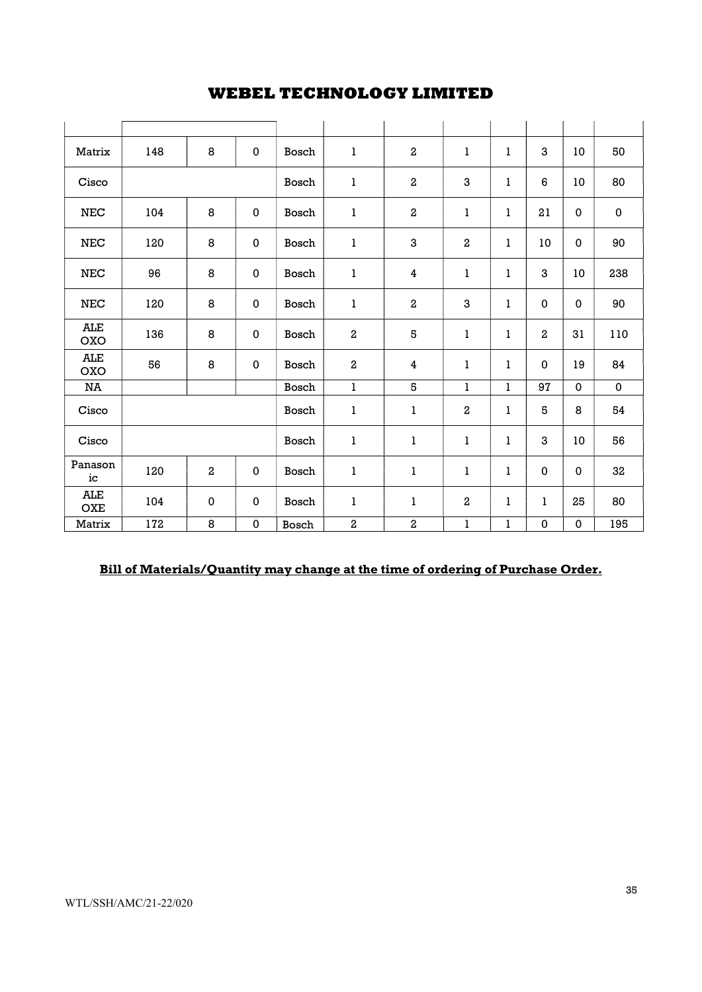| Matrix                   | 148 | 8                       | $\mathbf{0}$ | Bosch | 1                       | $\overline{2}$          | ı                       | 1            | 3         | 10           | 50           |
|--------------------------|-----|-------------------------|--------------|-------|-------------------------|-------------------------|-------------------------|--------------|-----------|--------------|--------------|
| Cisco                    |     |                         |              | Bosch | 1                       | $\boldsymbol{2}$        | 3                       | $\mathbf{1}$ | 6         | 10           | 80           |
| $_{\rm NEC}$             | 104 | 8                       | 0            | Bosch | 1                       | $\overline{\mathbf{2}}$ | 1                       | 1            | 21        | $\mathbf 0$  | $\mathbf 0$  |
| $_{\rm NEC}$             | 120 | 8                       | 0            | Bosch | 1                       | 3                       | $\,2\,$                 | 1            | 10        | 0            | 90           |
| ${\tt NEC}$              | 96  | 8                       | 0            | Bosch | 1                       | $\overline{\mathbf{4}}$ | 1                       | 1            | 3         | 10           | 238          |
| NEC                      | 120 | 8                       | 0            | Bosch | $\mathbf{1}$            | $\boldsymbol{2}$        | 3                       | 1            | $\pmb{0}$ | 0            | 90           |
| <b>ALE</b><br><b>OXO</b> | 136 | 8                       | 0            | Bosch | $\overline{\mathbf{2}}$ | 5                       | $\mathbf{1}$            | 1            | $\,2\,$   | 31           | 110          |
| <b>ALE</b><br>OXO        | 56  | 8                       | 0            | Bosch | $\,2\,$                 | 4                       | ı                       | 1            | 0         | 19           | 84           |
| NA                       |     |                         |              | Bosch | $\mathbf{1}$            | 5                       | ı                       | 1            | 97        | $\mathbf{0}$ | $\mathbf{0}$ |
| Cisco                    |     |                         |              | Bosch | $\bf{l}$                | $\bf{l}$                | $\boldsymbol{2}$        | 1            | 5         | 8            | 54           |
| Cisco                    |     |                         |              | Bosch | 1                       | 1                       | ı                       | 1            | 3         | 10           | 56           |
| Panason<br>ic            | 120 | $\overline{\mathbf{2}}$ | 0            | Bosch | 1                       | 1                       | 1                       | 1            | 0         | 0            | 32           |
| <b>ALE</b><br><b>OXE</b> | 104 | $\mathbf 0$             | 0            | Bosch | 1                       | 1                       | $\overline{\mathbf{c}}$ | 1            | ı         | 25           | 80           |
| Matrix                   | 172 | 8                       | 0            | Bosch | $\overline{\mathbf{2}}$ | $\,2\,$                 | $\mathbf{1}$            | ı            | 0         | 0            | 195          |

# Bill of Materials/Quantity may change at the time of ordering of Purchase Order.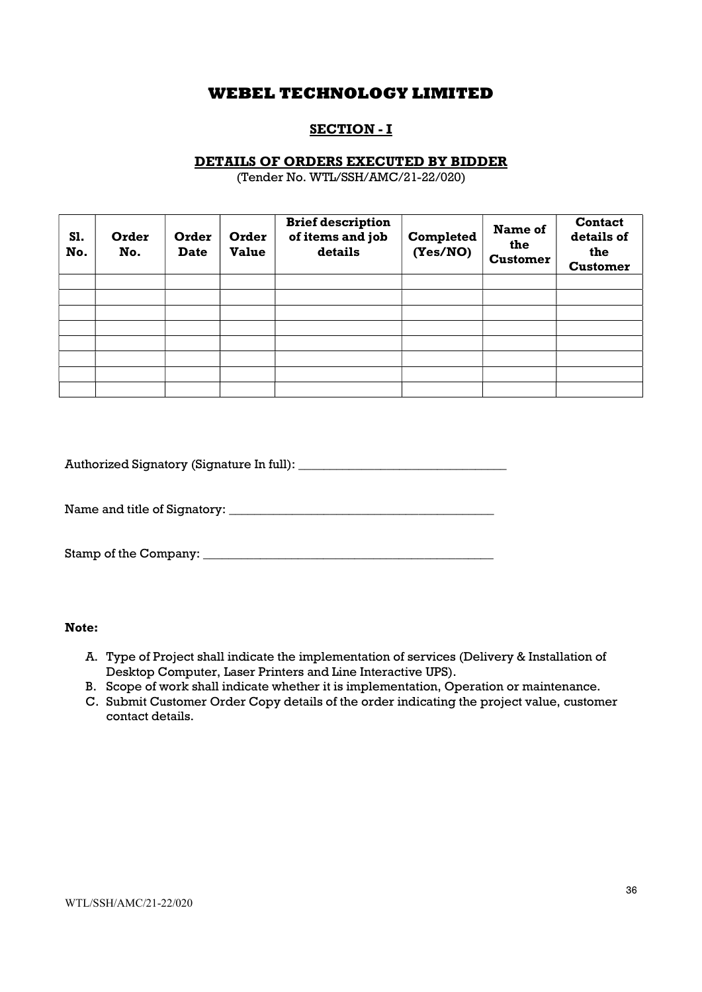## SECTION - I

### DETAILS OF ORDERS EXECUTED BY BIDDER

(Tender No. WTL/SSH/AMC/21-22/020)

| S1.<br>No. | Order<br>No. | Order<br><b>Date</b> | Order<br><b>Value</b> | <b>Brief description</b><br>of items and job<br>details | Completed<br>(Yes/NO) | Name of<br>the<br><b>Customer</b> | <b>Contact</b><br>details of<br>the<br><b>Customer</b> |
|------------|--------------|----------------------|-----------------------|---------------------------------------------------------|-----------------------|-----------------------------------|--------------------------------------------------------|
|            |              |                      |                       |                                                         |                       |                                   |                                                        |
|            |              |                      |                       |                                                         |                       |                                   |                                                        |
|            |              |                      |                       |                                                         |                       |                                   |                                                        |
|            |              |                      |                       |                                                         |                       |                                   |                                                        |
|            |              |                      |                       |                                                         |                       |                                   |                                                        |
|            |              |                      |                       |                                                         |                       |                                   |                                                        |
|            |              |                      |                       |                                                         |                       |                                   |                                                        |
|            |              |                      |                       |                                                         |                       |                                   |                                                        |

Authorized Signatory (Signature In full): \_\_\_\_\_\_\_\_\_\_\_\_\_\_\_\_\_\_\_\_\_\_\_\_\_\_\_\_\_\_\_\_\_

Name and title of Signatory: \_\_\_\_\_\_\_\_\_\_\_\_\_\_\_\_\_\_\_\_\_\_\_\_\_\_\_\_\_\_\_\_\_\_\_\_\_\_\_\_\_\_

Stamp of the Company: \_\_\_\_\_\_\_\_\_\_\_\_\_\_\_\_\_\_\_\_\_\_\_\_\_\_\_\_\_\_\_\_\_\_\_\_\_\_\_\_\_\_\_\_\_\_

#### Note:

- A. Type of Project shall indicate the implementation of services (Delivery & Installation of Desktop Computer, Laser Printers and Line Interactive UPS).
- B. Scope of work shall indicate whether it is implementation, Operation or maintenance.
- C. Submit Customer Order Copy details of the order indicating the project value, customer contact details.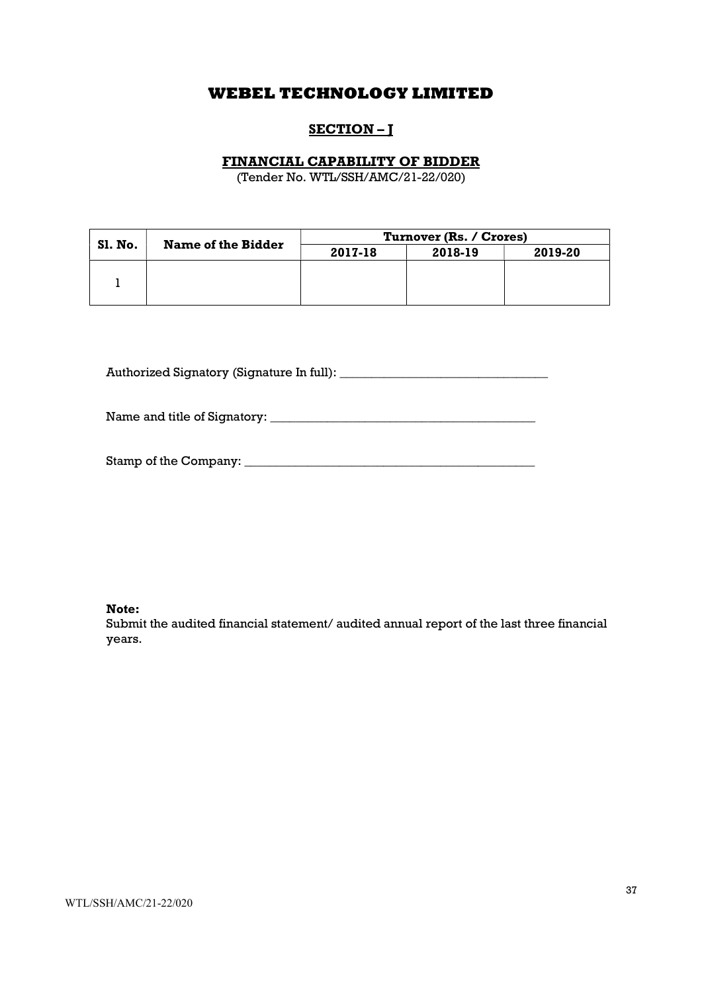# SECTION-J

### FINANCIAL CAPABILITY OF BIDDER

(Tender No. WTL/SSH/AMC/21-22/020)

|         | Name of the Bidder | Turnover (Rs. / Crores) |         |         |  |  |  |  |
|---------|--------------------|-------------------------|---------|---------|--|--|--|--|
| Sl. No. |                    | 2017-18                 | 2018-19 | 2019-20 |  |  |  |  |
|         |                    |                         |         |         |  |  |  |  |
|         |                    |                         |         |         |  |  |  |  |
|         |                    |                         |         |         |  |  |  |  |

Authorized Signatory (Signature In full): \_\_\_\_\_\_\_\_\_\_\_\_\_\_\_\_\_\_\_\_\_\_\_\_\_\_\_\_\_\_\_\_\_

Name and title of Signatory: \_\_\_\_\_\_\_\_\_\_\_\_\_\_\_\_\_\_\_\_\_\_\_\_\_\_\_\_\_\_\_\_\_\_\_\_\_\_\_\_\_\_

Stamp of the Company: \_\_\_\_\_\_\_\_\_\_\_\_\_\_\_\_\_\_\_\_\_\_\_\_\_\_\_\_\_\_\_\_\_\_\_\_\_\_\_\_\_\_\_\_\_\_

Note:

Submit the audited financial statement/ audited annual report of the last three financial years.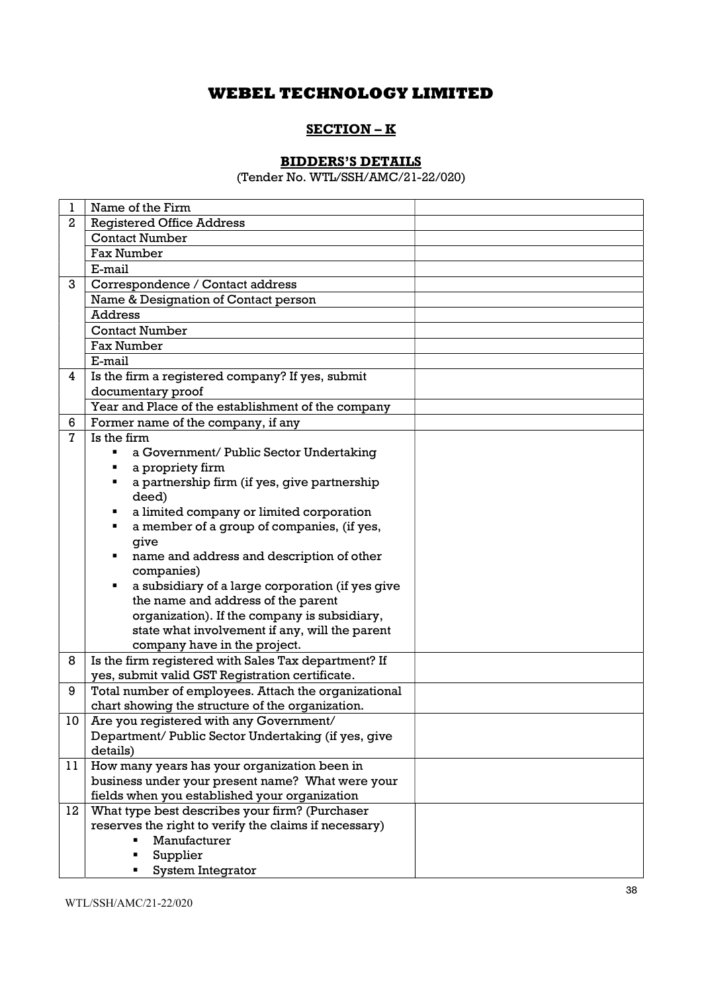## SECTION – K

## BIDDERS'S DETAILS

(Tender No. WTL/SSH/AMC/21-22/020)

| 1            | Name of the Firm                                      |  |
|--------------|-------------------------------------------------------|--|
| $\mathbf{2}$ | <b>Registered Office Address</b>                      |  |
|              | <b>Contact Number</b>                                 |  |
|              | <b>Fax Number</b>                                     |  |
|              | E-mail                                                |  |
| 3            | Correspondence / Contact address                      |  |
|              | Name & Designation of Contact person                  |  |
|              | <b>Address</b>                                        |  |
|              | <b>Contact Number</b>                                 |  |
|              | <b>Fax Number</b>                                     |  |
|              | E-mail                                                |  |
| 4            | Is the firm a registered company? If yes, submit      |  |
|              | documentary proof                                     |  |
|              | Year and Place of the establishment of the company    |  |
| 6            | Former name of the company, if any                    |  |
| 7            | Is the firm                                           |  |
|              | a Government/ Public Sector Undertaking<br>٠          |  |
|              | a propriety firm<br>٠                                 |  |
|              | a partnership firm (if yes, give partnership<br>٠     |  |
|              | deed)                                                 |  |
|              | a limited company or limited corporation<br>٠         |  |
|              | a member of a group of companies, (if yes,<br>٠       |  |
|              | give                                                  |  |
|              | name and address and description of other<br>٠        |  |
|              | companies)                                            |  |
|              | a subsidiary of a large corporation (if yes give<br>٠ |  |
|              | the name and address of the parent                    |  |
|              | organization). If the company is subsidiary,          |  |
|              | state what involvement if any, will the parent        |  |
|              | company have in the project.                          |  |
| 8            | Is the firm registered with Sales Tax department? If  |  |
|              | yes, submit valid GST Registration certificate.       |  |
| 9            | Total number of employees. Attach the organizational  |  |
|              | chart showing the structure of the organization.      |  |
| 10           | Are you registered with any Government/               |  |
|              | Department/ Public Sector Undertaking (if yes, give   |  |
|              | details)                                              |  |
| 11           | How many years has your organization been in          |  |
|              | business under your present name? What were your      |  |
|              | fields when you established your organization         |  |
| 12           | What type best describes your firm? (Purchaser        |  |
|              | reserves the right to verify the claims if necessary) |  |
|              | Manufacturer                                          |  |
|              | Supplier                                              |  |
|              | System Integrator                                     |  |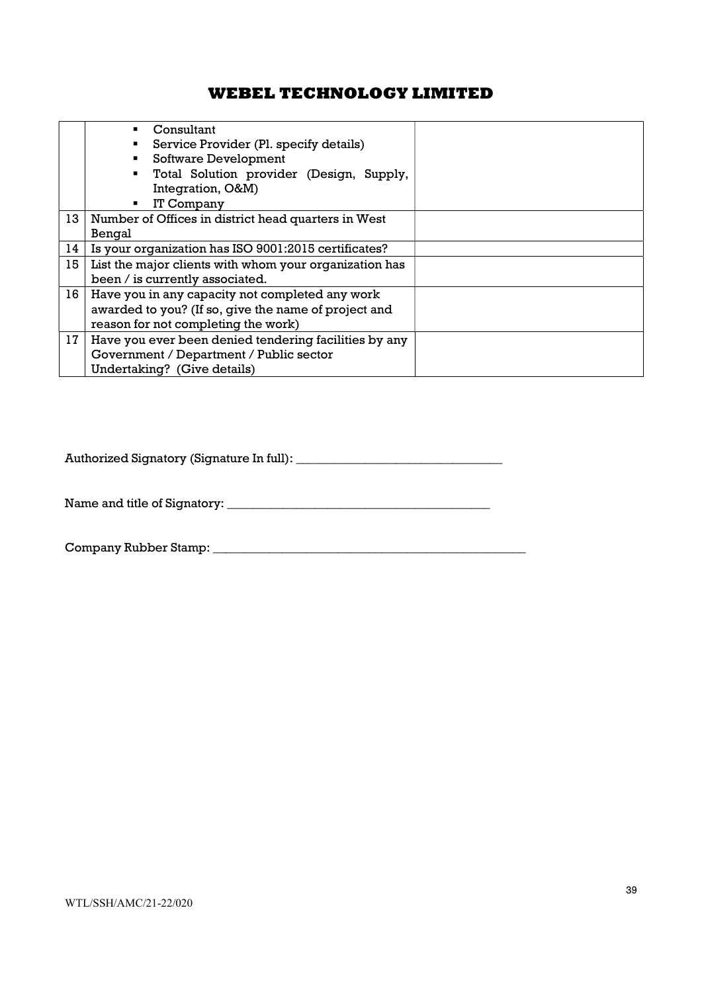|                 | Consultant                                             |  |  |  |  |  |  |
|-----------------|--------------------------------------------------------|--|--|--|--|--|--|
|                 | Service Provider (Pl. specify details)                 |  |  |  |  |  |  |
|                 | Software Development                                   |  |  |  |  |  |  |
|                 | Total Solution provider (Design, Supply,<br>٠          |  |  |  |  |  |  |
|                 | Integration, O&M)                                      |  |  |  |  |  |  |
|                 | IT Company                                             |  |  |  |  |  |  |
| 13              | Number of Offices in district head quarters in West    |  |  |  |  |  |  |
|                 | Bengal                                                 |  |  |  |  |  |  |
| 14              | Is your organization has ISO 9001:2015 certificates?   |  |  |  |  |  |  |
| 15              | List the major clients with whom your organization has |  |  |  |  |  |  |
|                 | been / is currently associated.                        |  |  |  |  |  |  |
| 16 <sup>1</sup> | Have you in any capacity not completed any work        |  |  |  |  |  |  |
|                 | awarded to you? (If so, give the name of project and   |  |  |  |  |  |  |
|                 | reason for not completing the work)                    |  |  |  |  |  |  |
| 17              | Have you ever been denied tendering facilities by any  |  |  |  |  |  |  |
|                 | Government / Department / Public sector                |  |  |  |  |  |  |
|                 | Undertaking? (Give details)                            |  |  |  |  |  |  |

Authorized Signatory (Signature In full): \_\_\_\_\_\_\_\_\_\_\_\_\_\_\_\_\_\_\_\_\_\_\_\_\_\_\_\_\_\_\_\_\_

Name and title of Signatory: \_\_\_\_\_\_\_\_\_\_\_\_\_\_\_\_\_\_\_\_\_\_\_\_\_\_\_\_\_\_\_\_\_\_\_\_\_\_\_\_\_\_

Company Rubber Stamp: \_\_\_\_\_\_\_\_\_\_\_\_\_\_\_\_\_\_\_\_\_\_\_\_\_\_\_\_\_\_\_\_\_\_\_\_\_\_\_\_\_\_\_\_\_\_\_\_\_\_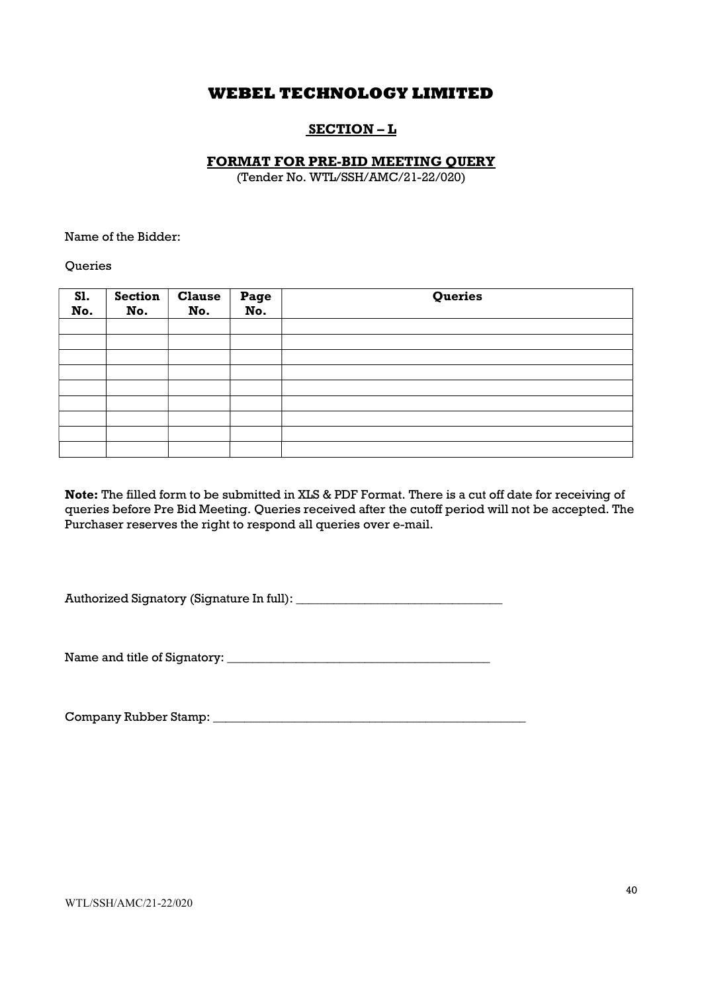## SECTION – L

#### FORMAT FOR PRE-BID MEETING QUERY

(Tender No. WTL/SSH/AMC/21-22/020)

Name of the Bidder:

**Oueries** 

| SI.<br>No. | <b>Section</b><br>No. | <b>Clause</b><br>No. | Page<br>No. | Queries |
|------------|-----------------------|----------------------|-------------|---------|
|            |                       |                      |             |         |
|            |                       |                      |             |         |
|            |                       |                      |             |         |
|            |                       |                      |             |         |
|            |                       |                      |             |         |
|            |                       |                      |             |         |
|            |                       |                      |             |         |
|            |                       |                      |             |         |
|            |                       |                      |             |         |

Note: The filled form to be submitted in XLS & PDF Format. There is a cut off date for receiving of queries before Pre Bid Meeting. Queries received after the cutoff period will not be accepted. The Purchaser reserves the right to respond all queries over e-mail.

Authorized Signatory (Signature In full): \_\_\_\_\_\_\_\_\_\_\_\_\_\_\_\_\_\_\_\_\_\_\_\_\_\_\_\_\_\_\_\_\_

Name and title of Signatory: \_\_\_\_\_\_\_\_\_\_\_\_\_\_\_\_\_\_\_\_\_\_\_\_\_\_\_\_\_\_\_\_\_\_\_\_\_\_\_\_\_\_

Company Rubber Stamp: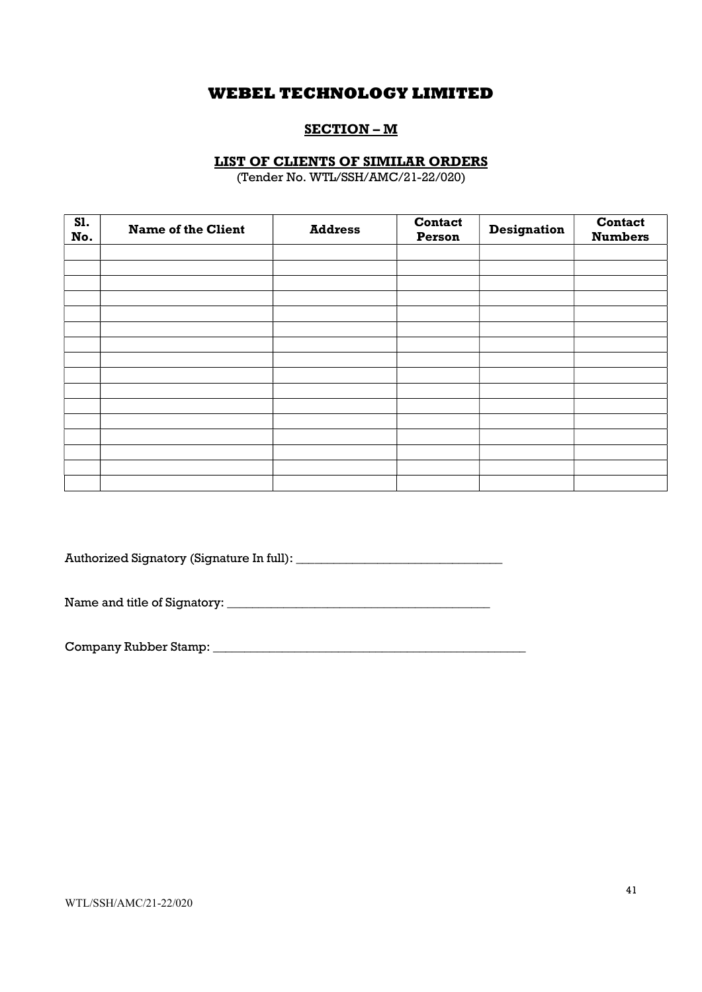# SECTION – M

### LIST OF CLIENTS OF SIMILAR ORDERS

(Tender No. WTL/SSH/AMC/21-22/020)

| <b>S1.</b><br>No. | <b>Name of the Client</b> | <b>Address</b> | <b>Contact</b><br>Person | <b>Designation</b> | <b>Contact</b><br><b>Numbers</b> |
|-------------------|---------------------------|----------------|--------------------------|--------------------|----------------------------------|
|                   |                           |                |                          |                    |                                  |
|                   |                           |                |                          |                    |                                  |
|                   |                           |                |                          |                    |                                  |
|                   |                           |                |                          |                    |                                  |
|                   |                           |                |                          |                    |                                  |
|                   |                           |                |                          |                    |                                  |
|                   |                           |                |                          |                    |                                  |
|                   |                           |                |                          |                    |                                  |
|                   |                           |                |                          |                    |                                  |
|                   |                           |                |                          |                    |                                  |
|                   |                           |                |                          |                    |                                  |
|                   |                           |                |                          |                    |                                  |
|                   |                           |                |                          |                    |                                  |
|                   |                           |                |                          |                    |                                  |
|                   |                           |                |                          |                    |                                  |
|                   |                           |                |                          |                    |                                  |

Authorized Signatory (Signature In full): \_\_\_\_\_\_\_\_\_\_\_\_\_\_\_\_\_\_\_\_\_\_\_\_\_\_\_\_\_\_\_\_\_

Name and title of Signatory: \_\_\_\_\_\_\_\_\_\_\_\_\_\_\_\_\_\_\_\_\_\_\_\_\_\_\_\_\_\_\_\_\_\_\_\_\_\_\_\_\_\_

Company Rubber Stamp: \_\_\_\_\_\_\_\_\_\_\_\_\_\_\_\_\_\_\_\_\_\_\_\_\_\_\_\_\_\_\_\_\_\_\_\_\_\_\_\_\_\_\_\_\_\_\_\_\_\_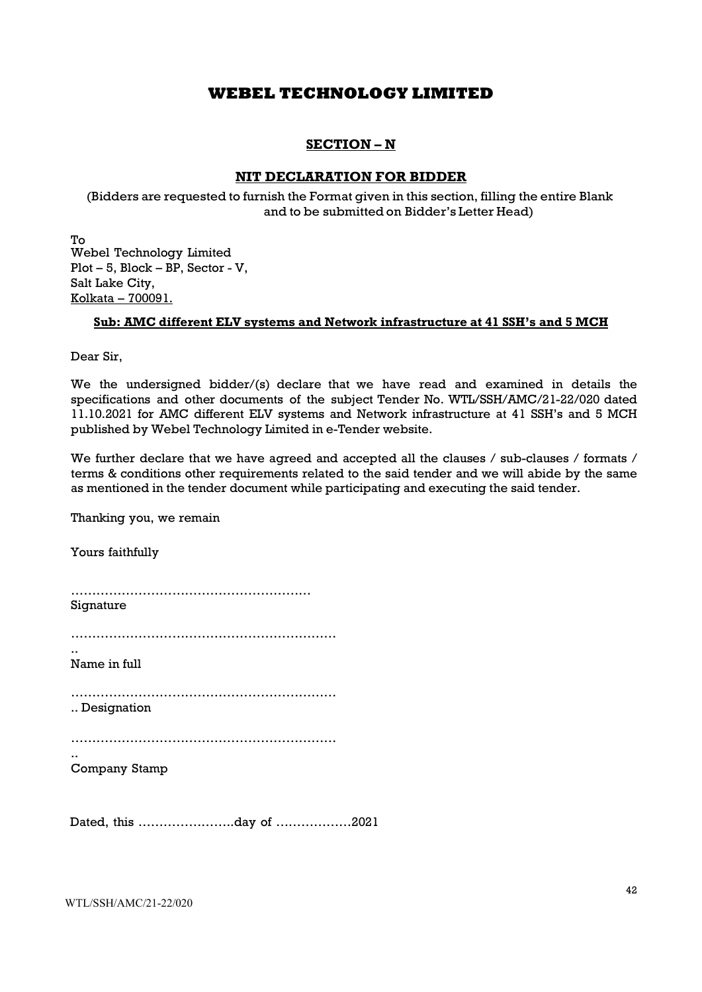## SECTION – N

#### NIT DECLARATION FOR BIDDER

(Bidders are requested to furnish the Format given in this section, filling the entire Blank and to be submitted on Bidder's Letter Head)

To Webel Technology Limited Plot – 5, Block – BP, Sector - V, Salt Lake City, Kolkata – 700091.

#### Sub: AMC different ELV systems and Network infrastructure at 41 SSH's and 5 MCH

Dear Sir,

We the undersigned bidder/(s) declare that we have read and examined in details the specifications and other documents of the subject Tender No. WTL/SSH/AMC/21-22/020 dated 11.10.2021 for AMC different ELV systems and Network infrastructure at 41 SSH's and 5 MCH published by Webel Technology Limited in e-Tender website.

We further declare that we have agreed and accepted all the clauses / sub-clauses / formats / terms & conditions other requirements related to the said tender and we will abide by the same as mentioned in the tender document while participating and executing the said tender.

Thanking you, we remain

Yours faithfully ………………………………………………… Signature ………………………………………………………

.. Name in full

………………………………………………………

.. Designation

……………………………………………………… ..

Company Stamp

Dated, this …………………..day of ………………2021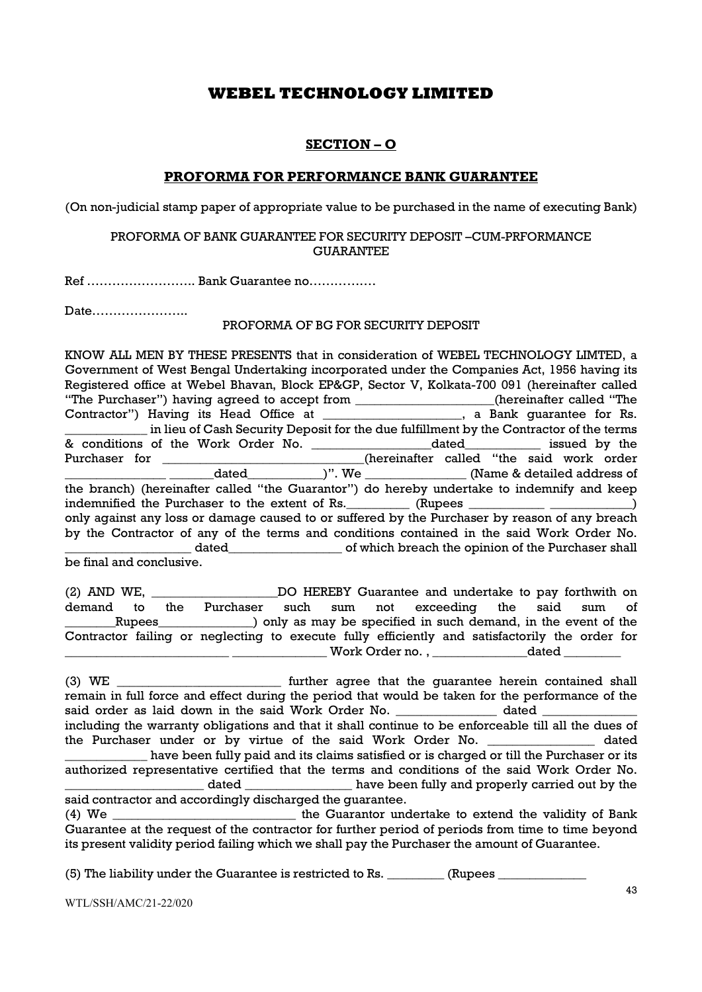## SECTION – O

### PROFORMA FOR PERFORMANCE BANK GUARANTEE

(On non-judicial stamp paper of appropriate value to be purchased in the name of executing Bank)

#### PROFORMA OF BANK GUARANTEE FOR SECURITY DEPOSIT –CUM-PRFORMANCE GUARANTEE

Ref …………………….. Bank Guarantee no…………….

Date…………………..

#### PROFORMA OF BG FOR SECURITY DEPOSIT

KNOW ALL MEN BY THESE PRESENTS that in consideration of WEBEL TECHNOLOGY LIMTED, a Government of West Bengal Undertaking incorporated under the Companies Act, 1956 having its Registered office at Webel Bhavan, Block EP&GP, Sector V, Kolkata-700 091 (hereinafter called "The Purchaser") having agreed to accept from \_\_\_\_\_\_\_\_\_\_\_\_\_\_\_\_\_\_\_\_\_\_(hereinafter called "The Contractor") Having its Head Office at \_\_\_\_\_\_\_\_\_\_\_\_\_\_\_\_\_\_, a Bank quarantee for Rs. \_\_\_\_\_\_\_\_\_\_\_\_\_ in lieu of Cash Security Deposit for the due fulfillment by the Contractor of the terms & conditions of the Work Order No. \_\_\_\_\_\_\_\_\_\_\_\_\_\_\_\_\_\_\_dated\_\_\_\_\_\_\_\_\_\_\_\_ issued by the Purchaser for **Exercise 2** (hereinafter called "the said work order dated \_\_\_\_\_\_\_\_\_\_\_\_\_)". We \_\_\_\_\_\_\_\_\_\_\_\_\_\_\_\_\_\_\_\_(Name & detailed address of the branch) (hereinafter called "the Guarantor") do hereby undertake to indemnify and keep indemnified the Purchaser to the extent of Rs. \_\_\_\_\_\_\_\_\_ (Rupees \_\_\_\_\_\_\_\_\_\_\_ \_\_\_\_\_\_\_\_\_\_\_\_) only against any loss or damage caused to or suffered by the Purchaser by reason of any breach by the Contractor of any of the terms and conditions contained in the said Work Order No. \_\_\_\_\_\_\_\_\_\_\_\_\_\_\_\_\_\_\_\_ dated\_\_\_\_\_\_\_\_\_\_\_\_\_\_\_\_\_\_ of which breach the opinion of the Purchaser shall be final and conclusive.

(2) AND WE, \_\_\_\_\_\_\_\_\_\_\_\_\_\_\_\_\_\_\_\_DO HEREBY Guarantee and undertake to pay forthwith on demand to the Purchaser such sum not exceeding the said sum of \_Rupees\_\_\_\_\_\_\_\_\_\_\_\_\_\_\_\_\_\_\_) only as may be specified in such demand, in the event of the Contractor failing or neglecting to execute fully efficiently and satisfactorily the order for Work Order no. , \_\_\_\_\_\_\_\_\_\_\_\_\_\_\_\_\_\_\_dated \_

(3) WE \_\_\_\_\_\_\_\_\_\_\_\_\_\_\_\_\_\_\_\_\_\_\_\_\_\_ further agree that the guarantee herein contained shall remain in full force and effect during the period that would be taken for the performance of the said order as laid down in the said Work Order No.  $\qquad \qquad$  dated including the warranty obligations and that it shall continue to be enforceable till all the dues of the Purchaser under or by virtue of the said Work Order No. \_\_\_\_\_\_\_\_\_\_\_\_\_\_\_\_\_ dated have been fully paid and its claims satisfied or is charged or till the Purchaser or its authorized representative certified that the terms and conditions of the said Work Order No. dated \_\_\_\_\_\_\_\_\_\_\_\_\_\_\_\_\_\_\_\_\_\_ have been fully and properly carried out by the said contractor and accordingly discharged the guarantee. (4) We \_\_\_\_\_\_\_\_\_\_\_\_\_\_\_\_\_\_\_\_\_\_\_\_\_\_\_\_\_ the Guarantor undertake to extend the validity of Bank Guarantee at the request of the contractor for further period of periods from time to time beyond its present validity period failing which we shall pay the Purchaser the amount of Guarantee.

(5) The liability under the Guarantee is restricted to Rs.  $\Box$  (Rupees  $\Box$ 

WTL/SSH/AMC/21-22/020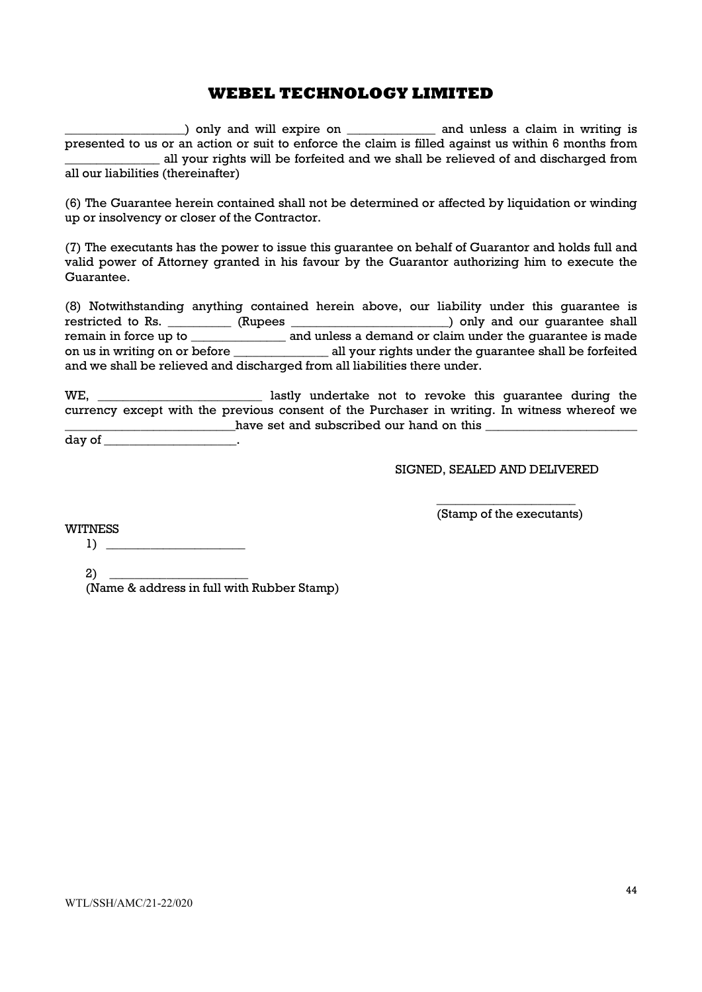\_\_\_\_\_\_\_\_\_\_\_\_\_\_\_\_\_\_\_) only and will expire on \_\_\_\_\_\_\_\_\_\_\_\_\_\_ and unless a claim in writing is presented to us or an action or suit to enforce the claim is filled against us within 6 months from \_\_\_\_\_\_\_\_\_\_\_\_\_\_\_ all your rights will be forfeited and we shall be relieved of and discharged from all our liabilities (thereinafter)

(6) The Guarantee herein contained shall not be determined or affected by liquidation or winding up or insolvency or closer of the Contractor.

(7) The executants has the power to issue this guarantee on behalf of Guarantor and holds full and valid power of Attorney granted in his favour by the Guarantor authorizing him to execute the Guarantee.

(8) Notwithstanding anything contained herein above, our liability under this guarantee is restricted to Rs. \_\_\_\_\_\_\_\_\_\_ (Rupees \_\_\_\_\_\_\_\_\_\_\_\_\_\_\_\_\_\_\_\_\_\_\_\_\_\_) only and our guarantee shall remain in force up to \_\_\_\_\_\_\_\_\_\_\_\_\_\_\_\_\_\_ and unless a demand or claim under the guarantee is made on us in writing on or before \_\_\_\_\_\_\_\_\_\_\_\_\_\_\_ all your rights under the guarantee shall be forfeited and we shall be relieved and discharged from all liabilities there under.

WE, we hastly undertake not to revoke this quarantee during the currency except with the previous consent of the Purchaser in writing. In witness whereof we \_\_\_\_\_\_\_\_\_\_\_\_\_\_\_\_\_\_\_\_\_\_\_\_\_\_\_have set and subscribed our hand on this \_\_\_\_\_\_\_\_\_\_\_\_\_\_\_\_\_\_\_\_\_\_\_\_

day of \_\_\_\_\_\_\_\_\_\_\_\_\_\_\_\_\_\_\_\_\_\_\_.

SIGNED, SEALED AND DELIVERED

\_\_\_\_\_\_\_\_\_\_\_\_\_\_\_\_\_\_\_\_\_\_ (Stamp of the executants)

WITNESS

1) \_\_\_\_\_\_\_\_\_\_\_\_\_\_\_\_\_\_\_\_\_\_

 $2)$ 

(Name & address in full with Rubber Stamp)